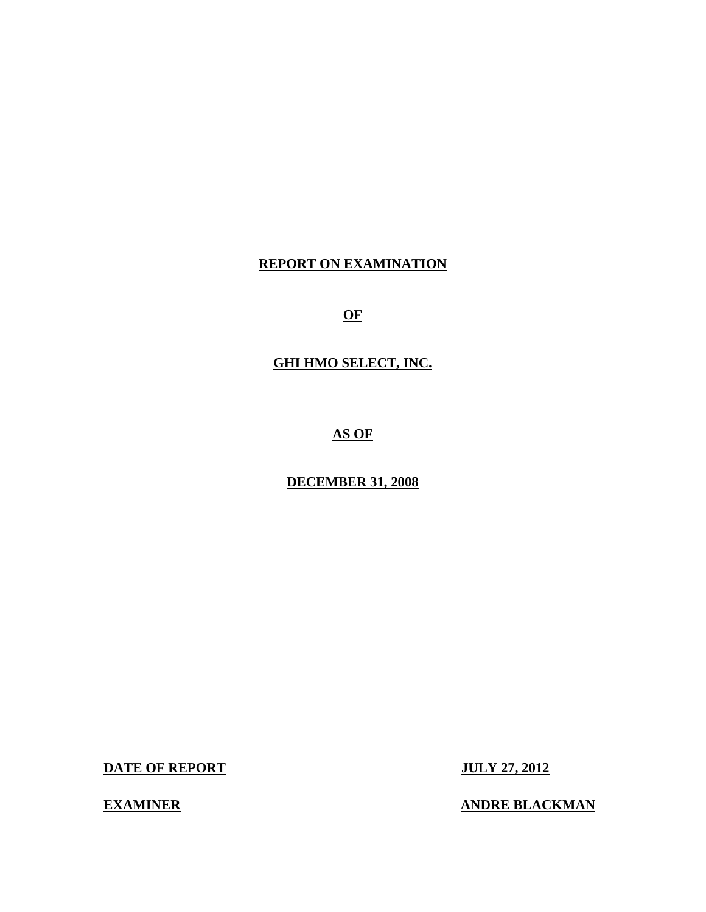# **REPORT ON EXAMINATION**

**OF** 

# **GHI HMO SELECT, INC.**

**AS OF** 

# **DECEMBER 31, 2008**

**DATE OF REPORT JULY 27, 2012** 

**EXAMINER EXAMINER ANDRE BLACKMAN**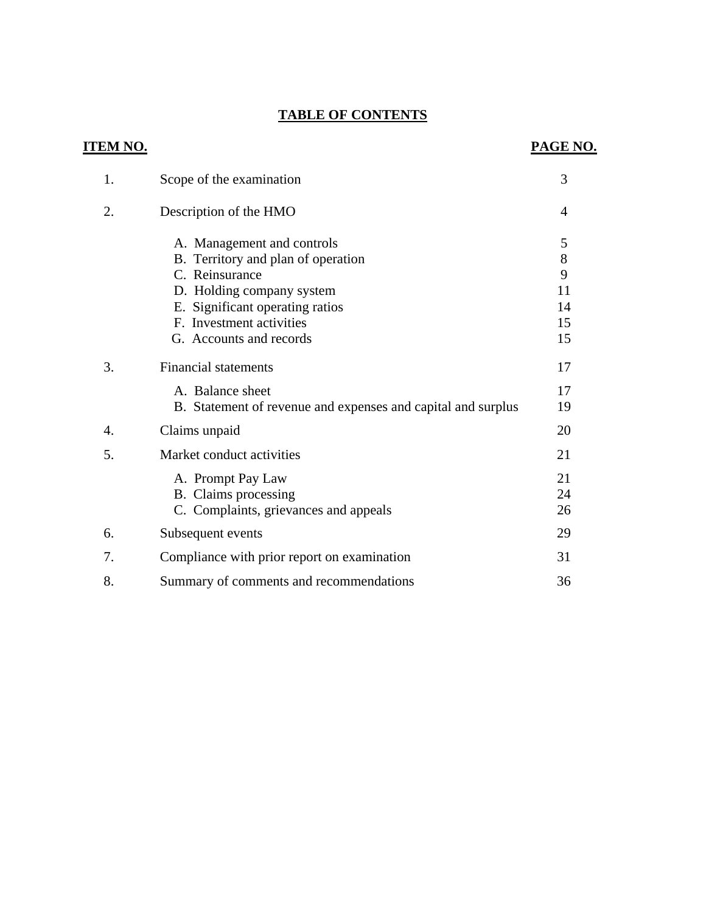# **TABLE OF CONTENTS**

| <u>ITEM NO.</u>  |                                                                                                                                                                                                           | PAGE NO.                            |
|------------------|-----------------------------------------------------------------------------------------------------------------------------------------------------------------------------------------------------------|-------------------------------------|
| 1.               | Scope of the examination                                                                                                                                                                                  | 3                                   |
| 2.               | Description of the HMO                                                                                                                                                                                    | $\overline{4}$                      |
|                  | A. Management and controls<br>B. Territory and plan of operation<br>C. Reinsurance<br>D. Holding company system<br>E. Significant operating ratios<br>F. Investment activities<br>G. Accounts and records | 5<br>8<br>9<br>11<br>14<br>15<br>15 |
| 3.               | <b>Financial statements</b><br>A. Balance sheet<br>B. Statement of revenue and expenses and capital and surplus                                                                                           | 17<br>17<br>19                      |
| $\overline{4}$ . | Claims unpaid                                                                                                                                                                                             | 20                                  |
| 5.               | Market conduct activities<br>A. Prompt Pay Law<br>B. Claims processing<br>C. Complaints, grievances and appeals                                                                                           | 21<br>21<br>24<br>26                |
| 6.               | Subsequent events                                                                                                                                                                                         | 29                                  |
| 7.               | Compliance with prior report on examination                                                                                                                                                               | 31                                  |
| 8.               | Summary of comments and recommendations                                                                                                                                                                   | 36                                  |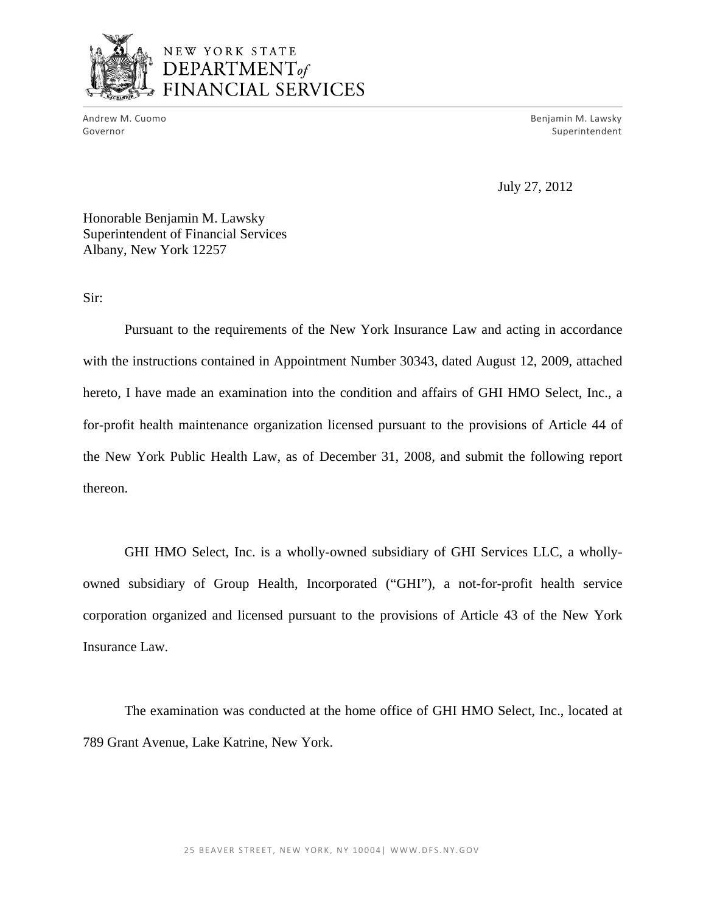

M. Cuomo Benjamin M. Lawsky (1999) and the contract of the contract of the contract of the contract of the contract of the contract of the contract of the contract of the contract of the contract of the contract of the con Andrew M. Cuomo **Benjamin M. Lawsky** Governor Superintendent and Superintendent and Superintendent and Superintendent and Superintendent and Superintendent

July 27, 2012

Honorable Benjamin M. Lawsky Superintendent of Financial Services Albany, New York 12257

Sir:

Pursuant to the requirements of the New York Insurance Law and acting in accordance with the instructions contained in Appointment Number 30343, dated August 12, 2009, attached hereto, I have made an examination into the condition and affairs of GHI HMO Select, Inc., a for-profit health maintenance organization licensed pursuant to the provisions of Article 44 of the New York Public Health Law, as of December 31, 2008, and submit the following report thereon.

GHI HMO Select, Inc. is a wholly-owned subsidiary of GHI Services LLC, a whollyowned subsidiary of Group Health, Incorporated ("GHI"), a not-for-profit health service corporation organized and licensed pursuant to the provisions of Article 43 of the New York Insurance Law.

The examination was conducted at the home office of GHI HMO Select, Inc., located at 789 Grant Avenue, Lake Katrine, New York.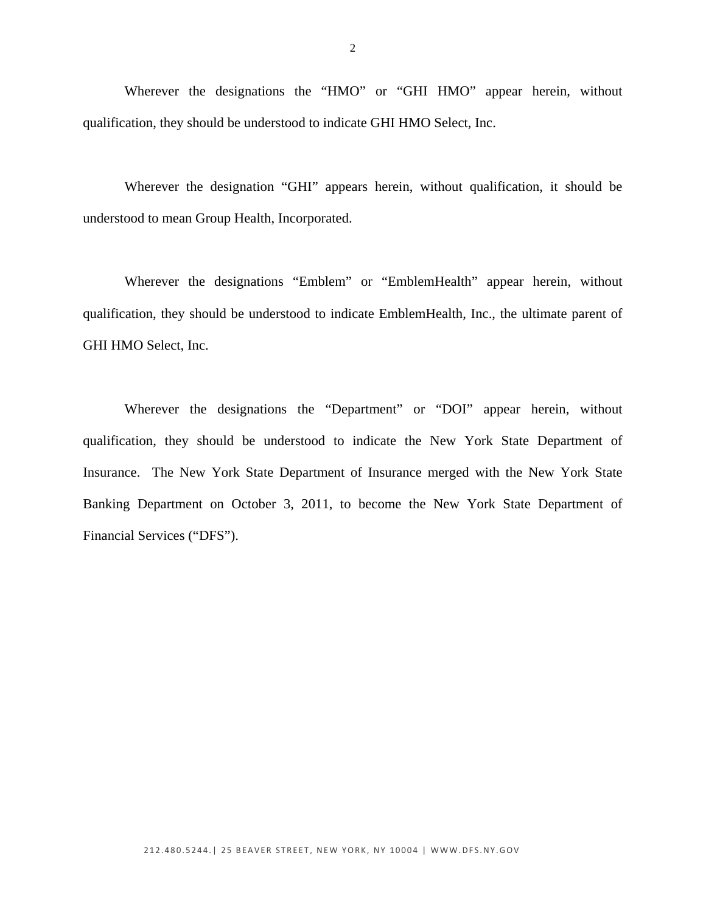Wherever the designations the "HMO" or "GHI HMO" appear herein, without qualification, they should be understood to indicate GHI HMO Select, Inc.

Wherever the designation "GHI" appears herein, without qualification, it should be understood to mean Group Health, Incorporated.

Wherever the designations "Emblem" or "EmblemHealth" appear herein, without qualification, they should be understood to indicate EmblemHealth, Inc., the ultimate parent of GHI HMO Select, Inc.

Wherever the designations the "Department" or "DOI" appear herein, without qualification, they should be understood to indicate the New York State Department of Insurance. The New York State Department of Insurance merged with the New York State Banking Department on October 3, 2011, to become the New York State Department of Financial Services ("DFS").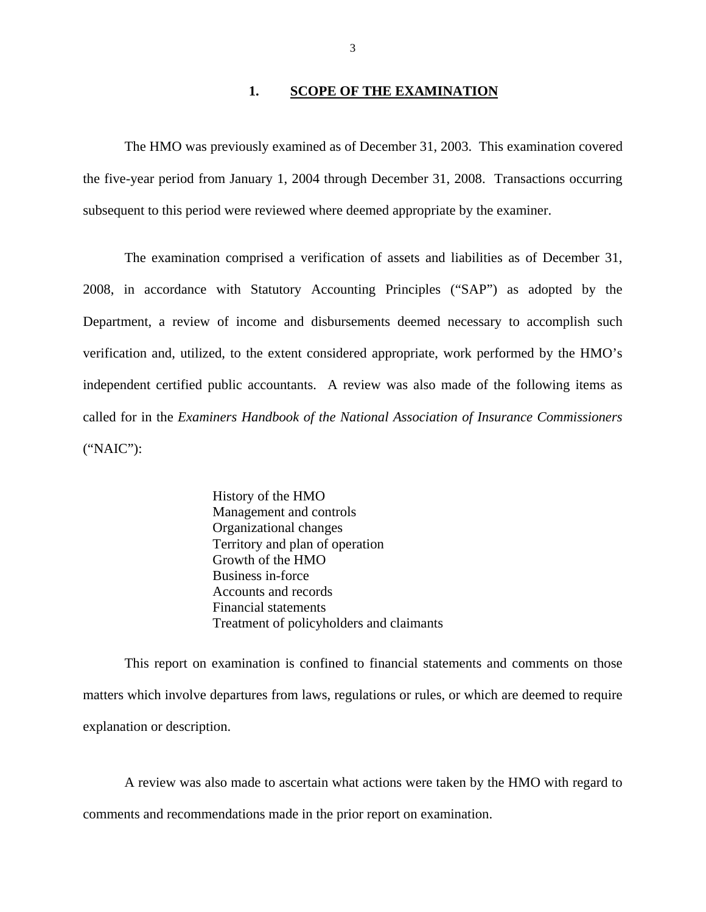### **1. SCOPE OF THE EXAMINATION**

The HMO was previously examined as of December 31, 2003. This examination covered the five-year period from January 1, 2004 through December 31, 2008. Transactions occurring subsequent to this period were reviewed where deemed appropriate by the examiner.

The examination comprised a verification of assets and liabilities as of December 31, 2008, in accordance with Statutory Accounting Principles ("SAP") as adopted by the Department, a review of income and disbursements deemed necessary to accomplish such verification and, utilized, to the extent considered appropriate, work performed by the HMO's independent certified public accountants. A review was also made of the following items as called for in the *Examiners Handbook of the National Association of Insurance Commissioners*  ("NAIC"):

> History of the HMO Management and controls Organizational changes Territory and plan of operation Growth of the HMO Business in-force Accounts and records Financial statements Treatment of policyholders and claimants

This report on examination is confined to financial statements and comments on those matters which involve departures from laws, regulations or rules, or which are deemed to require explanation or description.

A review was also made to ascertain what actions were taken by the HMO with regard to comments and recommendations made in the prior report on examination.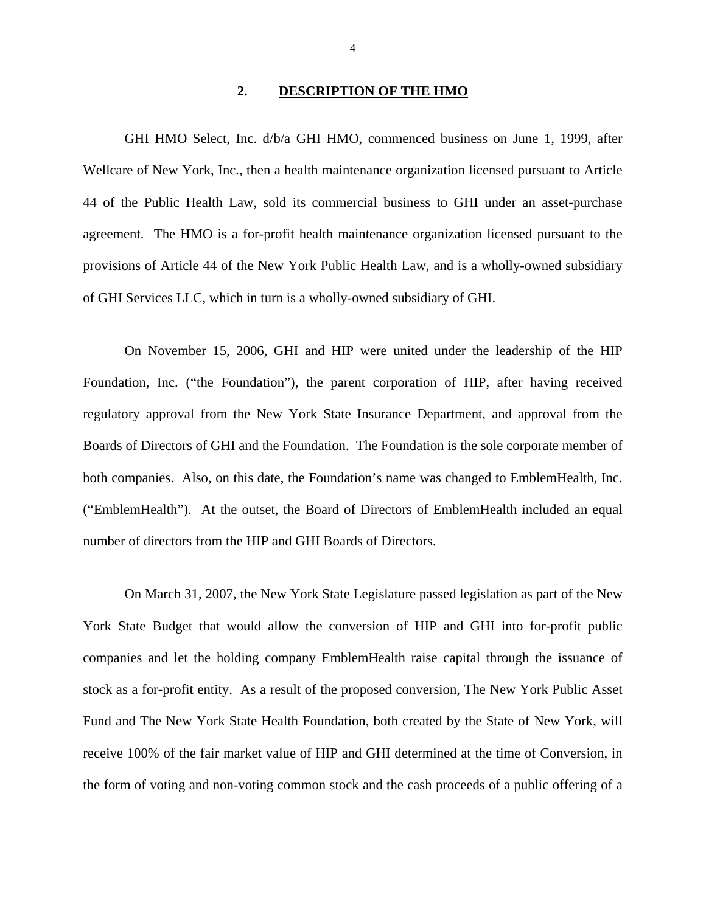### **2. DESCRIPTION OF THE HMO**

GHI HMO Select, Inc. d/b/a GHI HMO, commenced business on June 1, 1999, after Wellcare of New York, Inc., then a health maintenance organization licensed pursuant to Article 44 of the Public Health Law, sold its commercial business to GHI under an asset-purchase agreement. The HMO is a for-profit health maintenance organization licensed pursuant to the provisions of Article 44 of the New York Public Health Law, and is a wholly-owned subsidiary of GHI Services LLC, which in turn is a wholly-owned subsidiary of GHI.

On November 15, 2006, GHI and HIP were united under the leadership of the HIP Foundation, Inc. ("the Foundation"), the parent corporation of HIP, after having received regulatory approval from the New York State Insurance Department, and approval from the Boards of Directors of GHI and the Foundation. The Foundation is the sole corporate member of both companies. Also, on this date, the Foundation's name was changed to EmblemHealth, Inc. ("EmblemHealth"). At the outset, the Board of Directors of EmblemHealth included an equal number of directors from the HIP and GHI Boards of Directors.

On March 31, 2007, the New York State Legislature passed legislation as part of the New York State Budget that would allow the conversion of HIP and GHI into for-profit public companies and let the holding company EmblemHealth raise capital through the issuance of stock as a for-profit entity. As a result of the proposed conversion, The New York Public Asset Fund and The New York State Health Foundation, both created by the State of New York, will receive 100% of the fair market value of HIP and GHI determined at the time of Conversion, in the form of voting and non-voting common stock and the cash proceeds of a public offering of a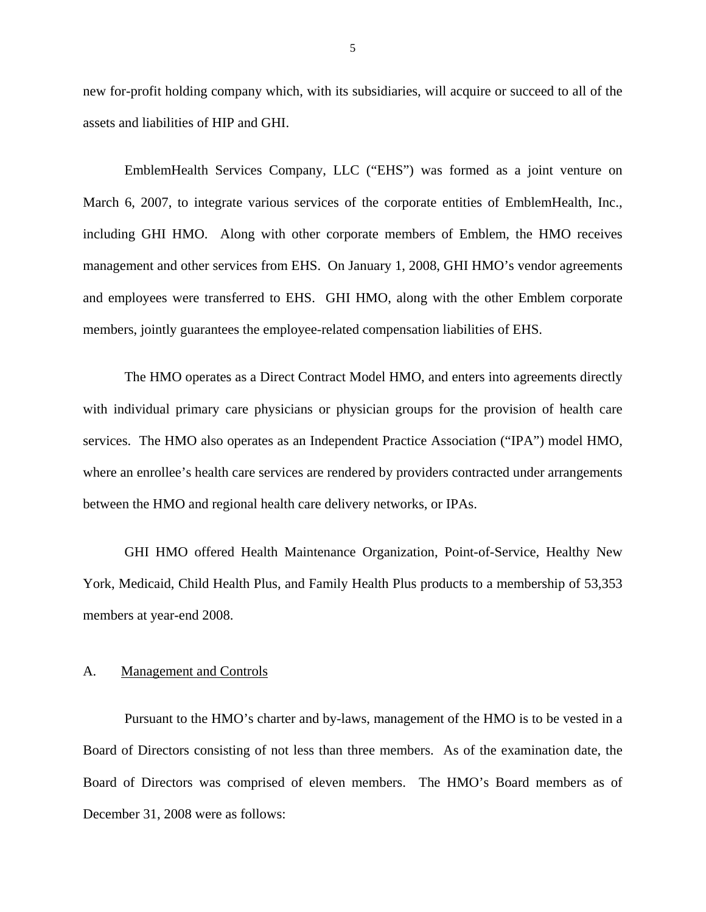<span id="page-6-0"></span>new for-profit holding company which, with its subsidiaries, will acquire or succeed to all of the assets and liabilities of HIP and GHI.

EmblemHealth Services Company, LLC ("EHS") was formed as a joint venture on March 6, 2007, to integrate various services of the corporate entities of EmblemHealth, Inc., including GHI HMO. Along with other corporate members of Emblem, the HMO receives management and other services from EHS. On January 1, 2008, GHI HMO's vendor agreements and employees were transferred to EHS. GHI HMO, along with the other Emblem corporate members, jointly guarantees the employee-related compensation liabilities of EHS.

The HMO operates as a Direct Contract Model HMO, and enters into agreements directly with individual primary care physicians or physician groups for the provision of health care services. The HMO also operates as an Independent Practice Association ("IPA") model HMO, where an enrollee's health care services are rendered by providers contracted under arrangements between the HMO and regional health care delivery networks, or IPAs.

GHI HMO offered Health Maintenance Organization, Point-of-Service, Healthy New York, Medicaid, Child Health Plus, and Family Health Plus products to a membership of 53,353 members at year-end 2008.

### A. Management and Controls

Pursuant to the HMO's charter and by-laws, management of the HMO is to be vested in a Board of Directors consisting of not less than three members. As of the examination date, the Board of Directors was comprised of eleven members. The HMO's Board members as of December 31, 2008 were as follows: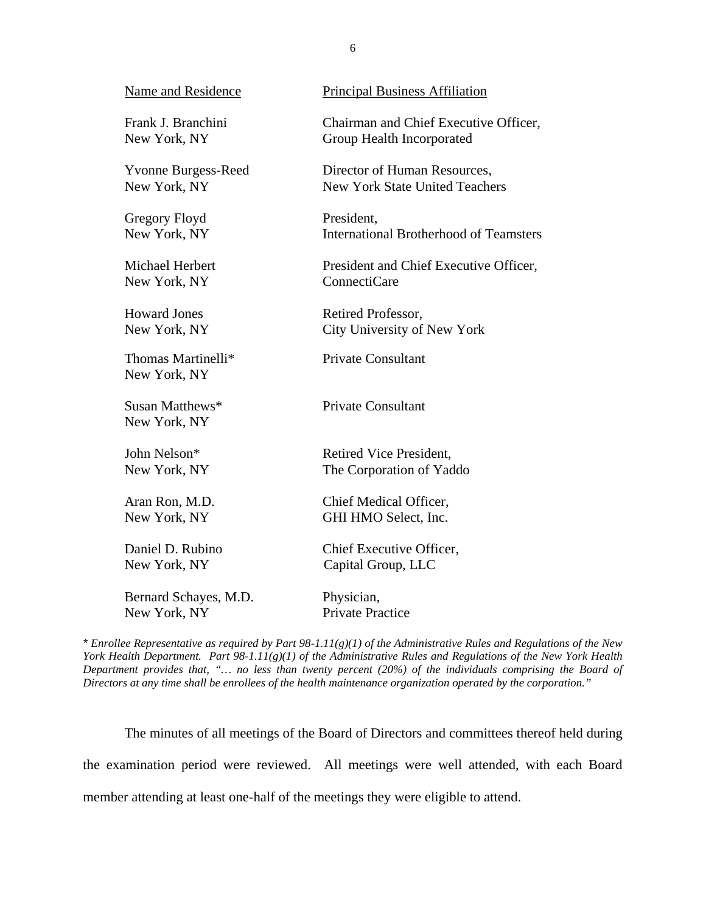| Name and Residence                 | <b>Principal Business Affiliation</b>         |
|------------------------------------|-----------------------------------------------|
| Frank J. Branchini                 | Chairman and Chief Executive Officer,         |
| New York, NY                       | Group Health Incorporated                     |
| <b>Yvonne Burgess-Reed</b>         | Director of Human Resources,                  |
| New York, NY                       | <b>New York State United Teachers</b>         |
| Gregory Floyd                      | President,                                    |
| New York, NY                       | <b>International Brotherhood of Teamsters</b> |
| Michael Herbert                    | President and Chief Executive Officer,        |
| New York, NY                       | <b>ConnectiCare</b>                           |
| <b>Howard Jones</b>                | Retired Professor,                            |
| New York, NY                       | City University of New York                   |
| Thomas Martinelli*<br>New York, NY | <b>Private Consultant</b>                     |
| Susan Matthews*<br>New York, NY    | <b>Private Consultant</b>                     |
| John Nelson*                       | Retired Vice President.                       |
| New York, NY                       | The Corporation of Yaddo                      |
| Aran Ron, M.D.                     | Chief Medical Officer,                        |
| New York, NY                       | GHI HMO Select, Inc.                          |
| Daniel D. Rubino                   | Chief Executive Officer,                      |
| New York, NY                       | Capital Group, LLC                            |
| Bernard Schayes, M.D.              | Physician,                                    |
| New York, NY                       | <b>Private Practice</b>                       |

 *York Health Department. Part 98-1.11(g)(1) of the Administrative Rules and Regulations of the New York Health \* Enrollee Representative as required by Part 98-1.11(g)(1) of the Administrative Rules and Regulations of the New Department provides that, "… no less than twenty percent (20%) of the individuals comprising the Board of Directors at any time shall be enrollees of the health maintenance organization operated by the corporation."* 

The minutes of all meetings of the Board of Directors and committees thereof held during the examination period were reviewed. All meetings were well attended, with each Board member attending at least one-half of the meetings they were eligible to attend.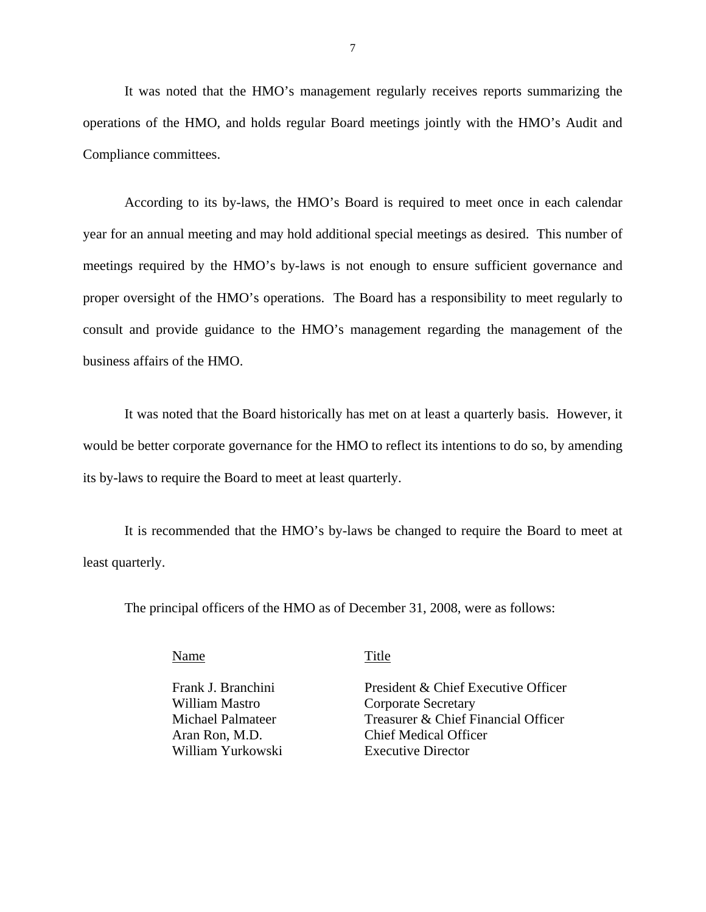It was noted that the HMO's management regularly receives reports summarizing the operations of the HMO, and holds regular Board meetings jointly with the HMO's Audit and Compliance committees.

According to its by-laws, the HMO's Board is required to meet once in each calendar year for an annual meeting and may hold additional special meetings as desired. This number of meetings required by the HMO's by-laws is not enough to ensure sufficient governance and proper oversight of the HMO's operations. The Board has a responsibility to meet regularly to consult and provide guidance to the HMO's management regarding the management of the business affairs of the HMO.

It was noted that the Board historically has met on at least a quarterly basis. However, it would be better corporate governance for the HMO to reflect its intentions to do so, by amending its by-laws to require the Board to meet at least quarterly.

It is recommended that the HMO's by-laws be changed to require the Board to meet at least quarterly.

The principal officers of the HMO as of December 31, 2008, were as follows:

Name Title

Frank J. Branchini William Mastro Michael Palmateer Aran Ron, M.D. William Yurkowski

President & Chief Executive Officer Corporate Secretary Treasurer & Chief Financial Officer Chief Medical Officer Executive Director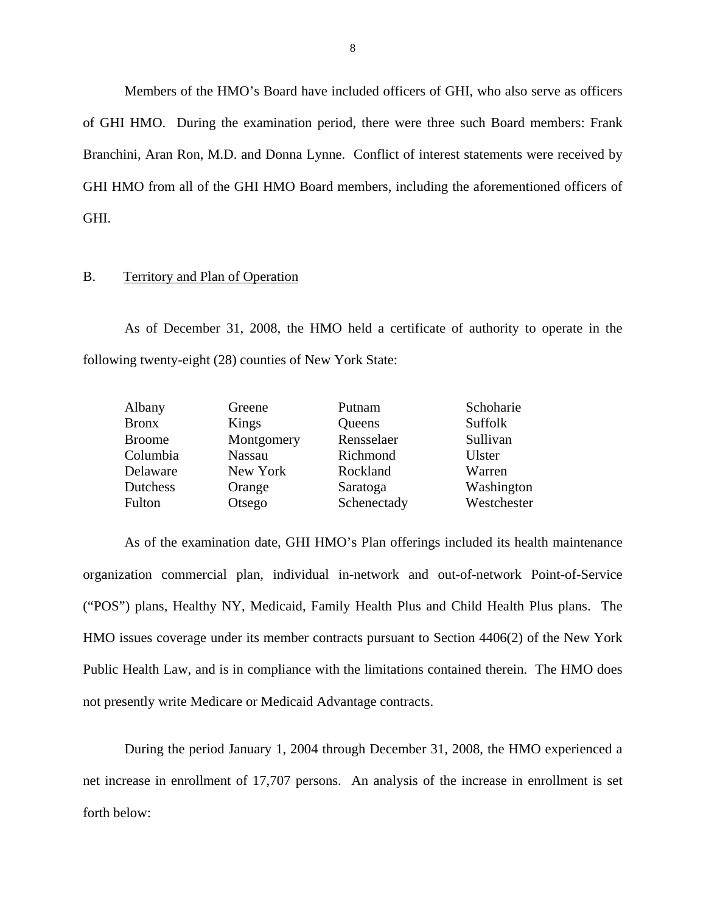Members of the HMO's Board have included officers of GHI, who also serve as officers of GHI HMO. During the examination period, there were three such Board members: Frank Branchini, Aran Ron, M.D. and Donna Lynne. Conflict of interest statements were received by GHI HMO from all of the GHI HMO Board members, including the aforementioned officers of GHI.

### B. Territory and Plan of Operation

As of December 31, 2008, the HMO held a certificate of authority to operate in the following twenty-eight (28) counties of New York State:

| Albany        | Greene        | Putnam      | Schoharie   |
|---------------|---------------|-------------|-------------|
| <b>Bronx</b>  | Kings         | Queens      | Suffolk     |
| <b>Broome</b> | Montgomery    | Rensselaer  | Sullivan    |
| Columbia      | <b>Nassau</b> | Richmond    | Ulster      |
| Delaware      | New York      | Rockland    | Warren      |
| Dutchess      | Orange        | Saratoga    | Washington  |
| Fulton        | Otsego        | Schenectady | Westchester |

As of the examination date, GHI HMO's Plan offerings included its health maintenance organization commercial plan, individual in-network and out-of-network Point-of-Service ("POS") plans, Healthy NY, Medicaid, Family Health Plus and Child Health Plus plans. The HMO issues coverage under its member contracts pursuant to Section 4406(2) of the New York Public Health Law, and is in compliance with the limitations contained therein. The HMO does not presently write Medicare or Medicaid Advantage contracts.

During the period January 1, 2004 through December 31, 2008, the HMO experienced a net increase in enrollment of 17,707 persons. An analysis of the increase in enrollment is set forth below: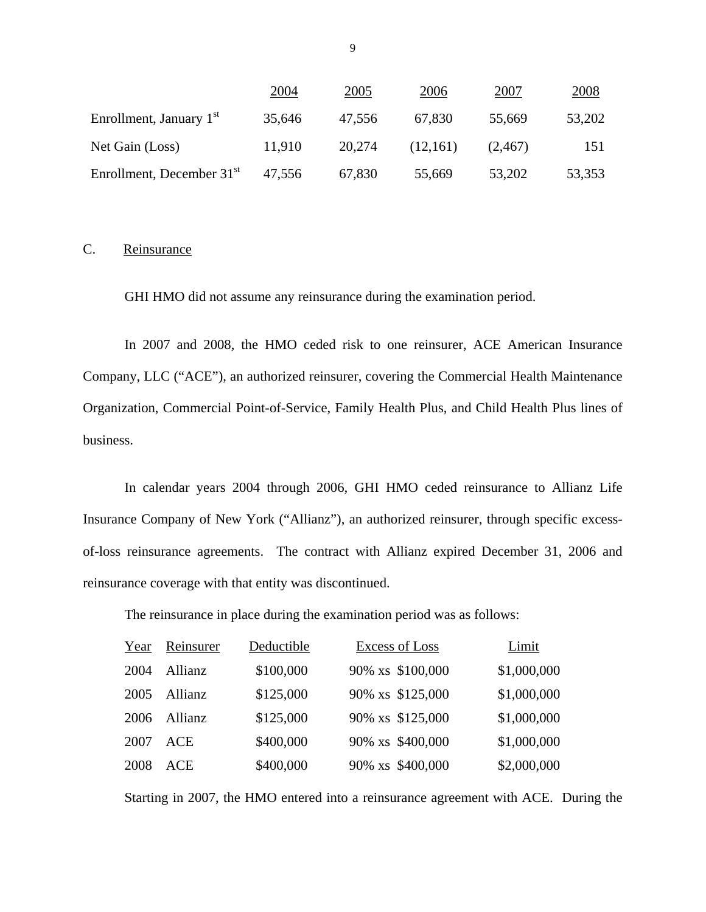|                             | 2004   | 2005   | 2006     | 2007    | 2008   |
|-----------------------------|--------|--------|----------|---------|--------|
| Enrollment, January $1st$   | 35,646 | 47,556 | 67,830   | 55,669  | 53,202 |
| Net Gain (Loss)             | 11,910 | 20.274 | (12,161) | (2,467) | 151    |
| Enrollment, December $31st$ | 47.556 | 67,830 | 55,669   | 53,202  | 53,353 |

# C. Reinsurance

GHI HMO did not assume any reinsurance during the examination period.

In 2007 and 2008, the HMO ceded risk to one reinsurer, ACE American Insurance Company, LLC ("ACE"), an authorized reinsurer, covering the Commercial Health Maintenance Organization, Commercial Point-of-Service, Family Health Plus, and Child Health Plus lines of business.

In calendar years 2004 through 2006, GHI HMO ceded reinsurance to Allianz Life Insurance Company of New York ("Allianz"), an authorized reinsurer, through specific excessof-loss reinsurance agreements. The contract with Allianz expired December 31, 2006 and reinsurance coverage with that entity was discontinued.

The reinsurance in place during the examination period was as follows:

| Year | Reinsurer  | Deductible | <b>Excess of Loss</b> | Limit       |
|------|------------|------------|-----------------------|-------------|
| 2004 | Allianz    | \$100,000  | 90% xs \$100,000      | \$1,000,000 |
| 2005 | Allianz    | \$125,000  | 90% xs \$125,000      | \$1,000,000 |
| 2006 | Allianz    | \$125,000  | 90% xs \$125,000      | \$1,000,000 |
| 2007 | ACE        | \$400,000  | 90% xs \$400,000      | \$1,000,000 |
| 2008 | <b>ACE</b> | \$400,000  | 90% xs \$400,000      | \$2,000,000 |

Starting in 2007, the HMO entered into a reinsurance agreement with ACE. During the

9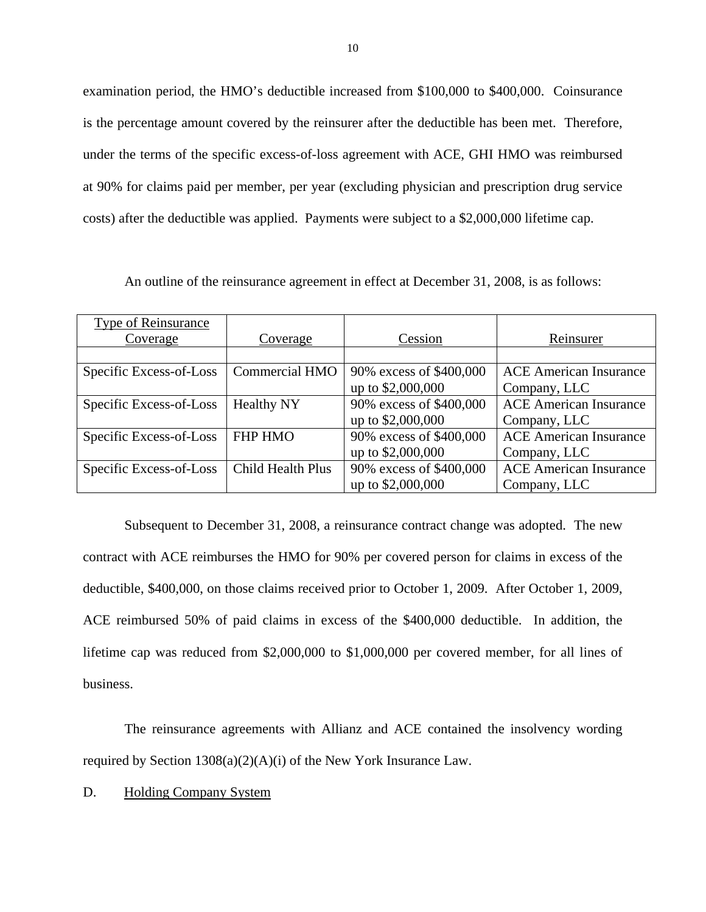examination period, the HMO's deductible increased from \$100,000 to \$400,000. Coinsurance is the percentage amount covered by the reinsurer after the deductible has been met. Therefore, under the terms of the specific excess-of-loss agreement with ACE, GHI HMO was reimbursed at 90% for claims paid per member, per year (excluding physician and prescription drug service costs) after the deductible was applied. Payments were subject to a \$2,000,000 lifetime cap.

An outline of the reinsurance agreement in effect at December 31, 2008, is as follows:

| Type of Reinsurance     |                       |                         |                               |
|-------------------------|-----------------------|-------------------------|-------------------------------|
| Coverage                | Coverage              | Cession                 | Reinsurer                     |
|                         |                       |                         |                               |
| Specific Excess-of-Loss | <b>Commercial HMO</b> | 90% excess of \$400,000 | <b>ACE American Insurance</b> |
|                         |                       | up to \$2,000,000       | Company, LLC                  |
| Specific Excess-of-Loss | <b>Healthy NY</b>     | 90% excess of \$400,000 | <b>ACE American Insurance</b> |
|                         |                       | up to \$2,000,000       | Company, LLC                  |
| Specific Excess-of-Loss | <b>FHP HMO</b>        | 90% excess of \$400,000 | <b>ACE American Insurance</b> |
|                         |                       | up to \$2,000,000       | Company, LLC                  |
| Specific Excess-of-Loss | Child Health Plus     | 90% excess of \$400,000 | <b>ACE American Insurance</b> |
|                         |                       | up to \$2,000,000       | Company, LLC                  |

Subsequent to December 31, 2008, a reinsurance contract change was adopted. The new contract with ACE reimburses the HMO for 90% per covered person for claims in excess of the deductible, \$400,000, on those claims received prior to October 1, 2009. After October 1, 2009, ACE reimbursed 50% of paid claims in excess of the \$400,000 deductible. In addition, the lifetime cap was reduced from \$2,000,000 to \$1,000,000 per covered member, for all lines of business.

The reinsurance agreements with Allianz and ACE contained the insolvency wording required by Section 1308(a)(2)(A)(i) of the New York Insurance Law.

D. Holding Company System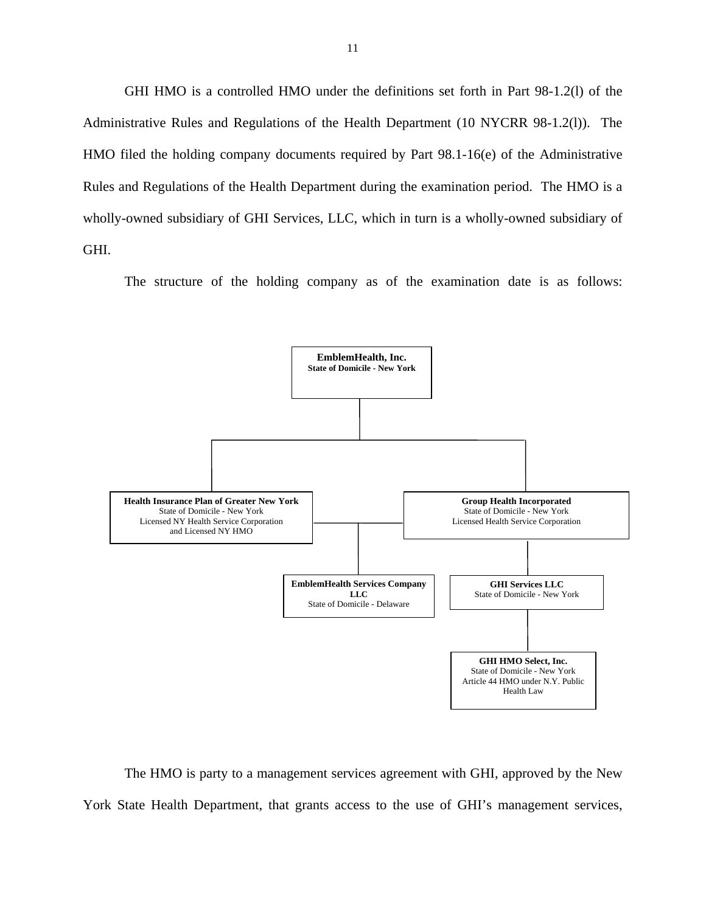<span id="page-12-0"></span>GHI HMO is a controlled HMO under the definitions set forth in Part 98-1.2(l) of the Administrative Rules and Regulations of the Health Department (10 NYCRR 98-1.2(l)). The HMO filed the holding company documents required by Part 98.1-16(e) of the Administrative Rules and Regulations of the Health Department during the examination period. The HMO is a wholly-owned subsidiary of GHI Services, LLC, which in turn is a wholly-owned subsidiary of GHI.

The structure of the holding company as of the examination date is as follows:



The HMO is party to a management services agreement with GHI, approved by the New York State Health Department, that grants access to the use of GHI's management services,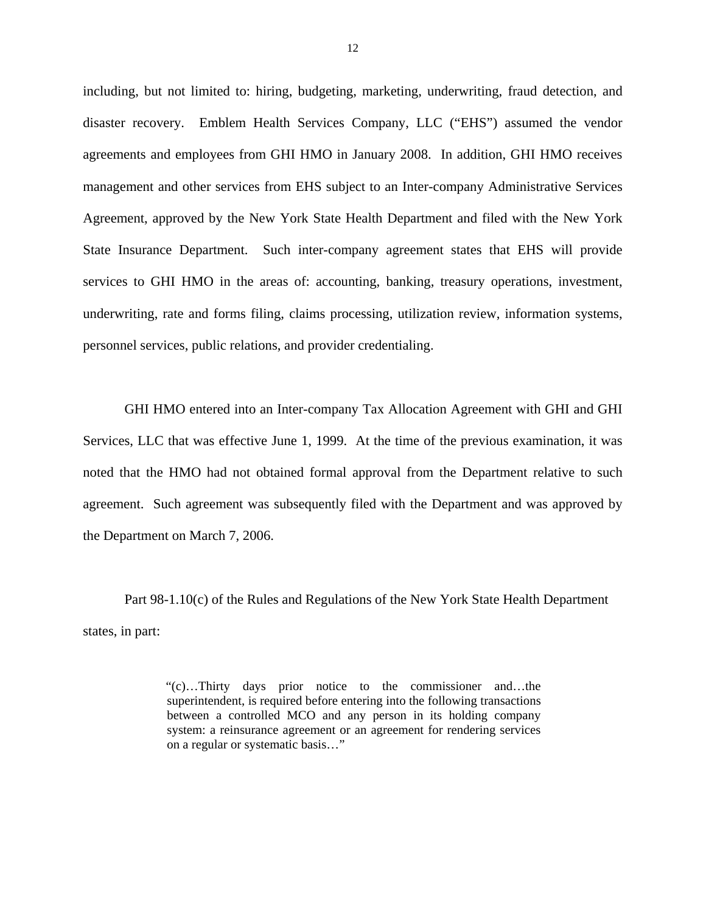including, but not limited to: hiring, budgeting, marketing, underwriting, fraud detection, and disaster recovery. Emblem Health Services Company, LLC ("EHS") assumed the vendor agreements and employees from GHI HMO in January 2008. In addition, GHI HMO receives management and other services from EHS subject to an Inter-company Administrative Services Agreement, approved by the New York State Health Department and filed with the New York State Insurance Department. Such inter-company agreement states that EHS will provide services to GHI HMO in the areas of: accounting, banking, treasury operations, investment, underwriting, rate and forms filing, claims processing, utilization review, information systems, personnel services, public relations, and provider credentialing.

GHI HMO entered into an Inter-company Tax Allocation Agreement with GHI and GHI Services, LLC that was effective June 1, 1999. At the time of the previous examination, it was noted that the HMO had not obtained formal approval from the Department relative to such agreement. Such agreement was subsequently filed with the Department and was approved by the Department on March 7, 2006.

Part 98-1.10(c) of the Rules and Regulations of the New York State Health Department states, in part:

> "(c)…Thirty days prior notice to the commissioner and…the superintendent, is required before entering into the following transactions between a controlled MCO and any person in its holding company system: a reinsurance agreement or an agreement for rendering services on a regular or systematic basis…"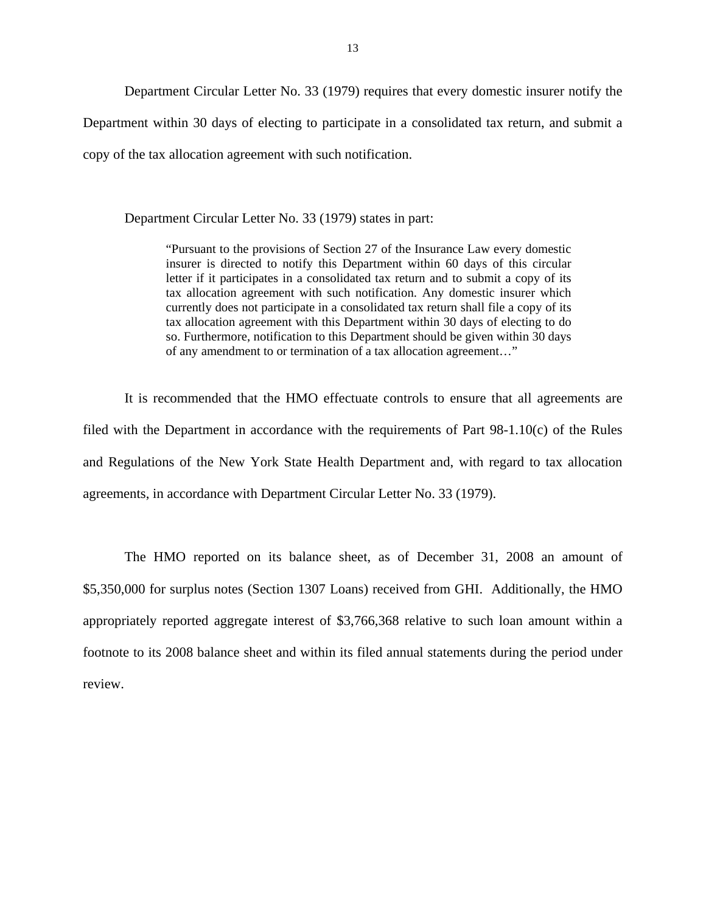Department Circular Letter No. 33 (1979) requires that every domestic insurer notify the Department within 30 days of electing to participate in a consolidated tax return, and submit a copy of the tax allocation agreement with such notification.

Department Circular Letter No. 33 (1979) states in part:

 "Pursuant to the provisions of Section 27 of the Insurance Law every domestic insurer is directed to notify this Department within 60 days of this circular letter if it participates in a consolidated tax return and to submit a copy of its tax allocation agreement with such notification. Any domestic insurer which currently does not participate in a consolidated tax return shall file a copy of its tax allocation agreement with this Department within 30 days of electing to do so. Furthermore, notification to this Department should be given within 30 days of any amendment to or termination of a tax allocation agreement…"

It is recommended that the HMO effectuate controls to ensure that all agreements are filed with the Department in accordance with the requirements of Part 98-1.10(c) of the Rules and Regulations of the New York State Health Department and, with regard to tax allocation agreements, in accordance with Department Circular Letter No. 33 (1979).

The HMO reported on its balance sheet, as of December 31, 2008 an amount of \$5,350,000 for surplus notes (Section 1307 Loans) received from GHI. Additionally, the HMO appropriately reported aggregate interest of \$3,766,368 relative to such loan amount within a footnote to its 2008 balance sheet and within its filed annual statements during the period under review.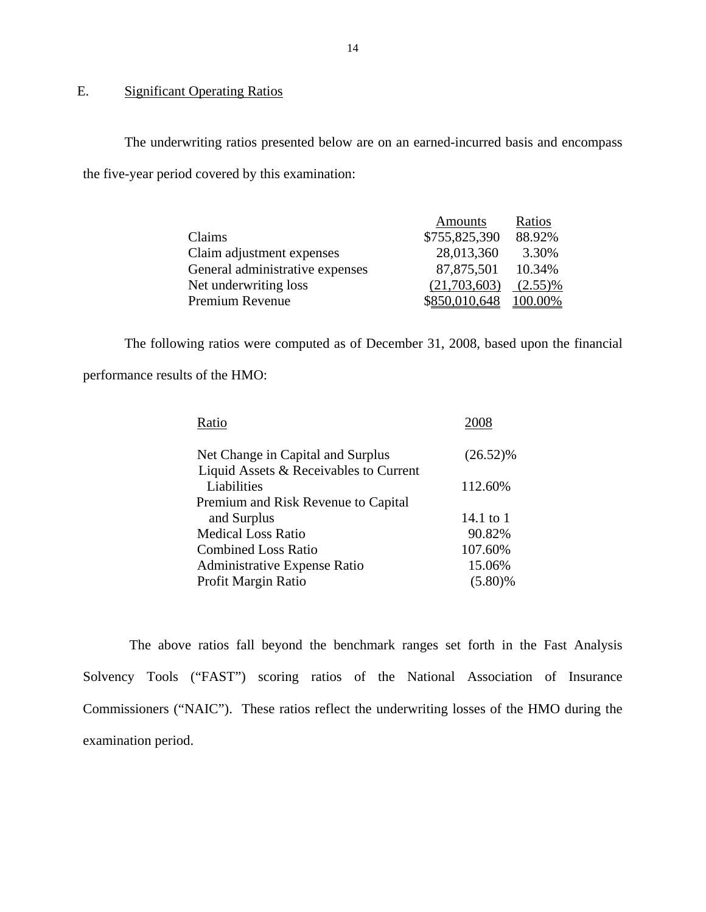# E. Significant Operating Ratios

The underwriting ratios presented below are on an earned-incurred basis and encompass the five-year period covered by this examination:

|                                 | <b>Amounts</b> | Ratios     |
|---------------------------------|----------------|------------|
| Claims                          | \$755,825,390  | 88.92%     |
| Claim adjustment expenses       | 28,013,360     | 3.30%      |
| General administrative expenses | 87,875,501     | 10.34%     |
| Net underwriting loss           | (21,703,603)   | $(2.55)\%$ |
| Premium Revenue                 | \$850,010,648  | 100.00%    |

The following ratios were computed as of December 31, 2008, based upon the financial performance results of the HMO:

| Ratio                                                 |             |
|-------------------------------------------------------|-------------|
| Net Change in Capital and Surplus                     | $(26.52)\%$ |
| Liquid Assets & Receivables to Current<br>Liabilities | 112.60%     |
| Premium and Risk Revenue to Capital                   |             |
| and Surplus                                           | 14.1 to 1   |
| <b>Medical Loss Ratio</b>                             | 90.82%      |
| <b>Combined Loss Ratio</b>                            | 107.60%     |
| <b>Administrative Expense Ratio</b>                   | 15.06%      |
| Profit Margin Ratio                                   | $(5.80)\%$  |
|                                                       |             |

The above ratios fall beyond the benchmark ranges set forth in the Fast Analysis Solvency Tools ("FAST") scoring ratios of the National Association of Insurance Commissioners ("NAIC"). These ratios reflect the underwriting losses of the HMO during the examination period.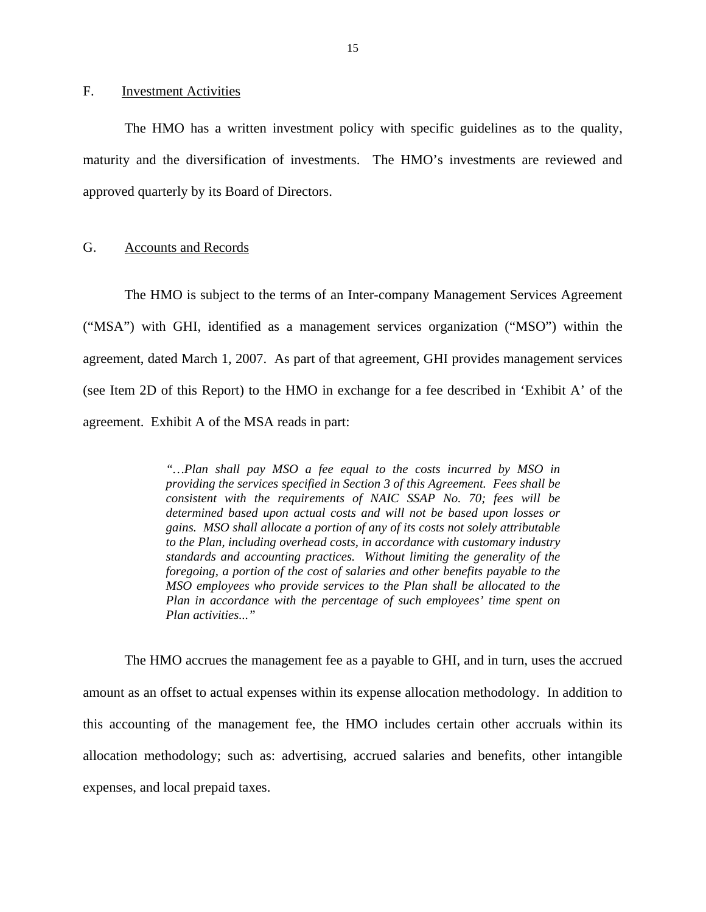### <span id="page-16-0"></span>F. Investment Activities

The HMO has a written investment policy with specific guidelines as to the quality, maturity and the diversification of investments. The HMO's investments are reviewed and approved quarterly by its Board of Directors.

### G. Accounts and Records

The HMO is subject to the terms of an Inter-company Management Services Agreement ("MSA") with GHI, identified as a management services organization ("MSO") within the agreement, dated March 1, 2007. As part of that agreement, GHI provides management services (see Item 2D of this Report) to the HMO in exchange for a fee described in 'Exhibit A' of the agreement. Exhibit A of the MSA reads in part:

> *standards and accounting practices. Without limiting the generality of the "…Plan shall pay MSO a fee equal to the costs incurred by MSO in providing the services specified in Section 3 of this Agreement. Fees shall be consistent with the requirements of NAIC SSAP No. 70; fees will be determined based upon actual costs and will not be based upon losses or gains. MSO shall allocate a portion of any of its costs not solely attributable to the Plan, including overhead costs, in accordance with customary industry foregoing, a portion of the cost of salaries and other benefits payable to the MSO employees who provide services to the Plan shall be allocated to the Plan in accordance with the percentage of such employees' time spent on Plan activities..."*

The HMO accrues the management fee as a payable to GHI, and in turn, uses the accrued amount as an offset to actual expenses within its expense allocation methodology. In addition to this accounting of the management fee, the HMO includes certain other accruals within its allocation methodology; such as: advertising, accrued salaries and benefits, other intangible expenses, and local prepaid taxes.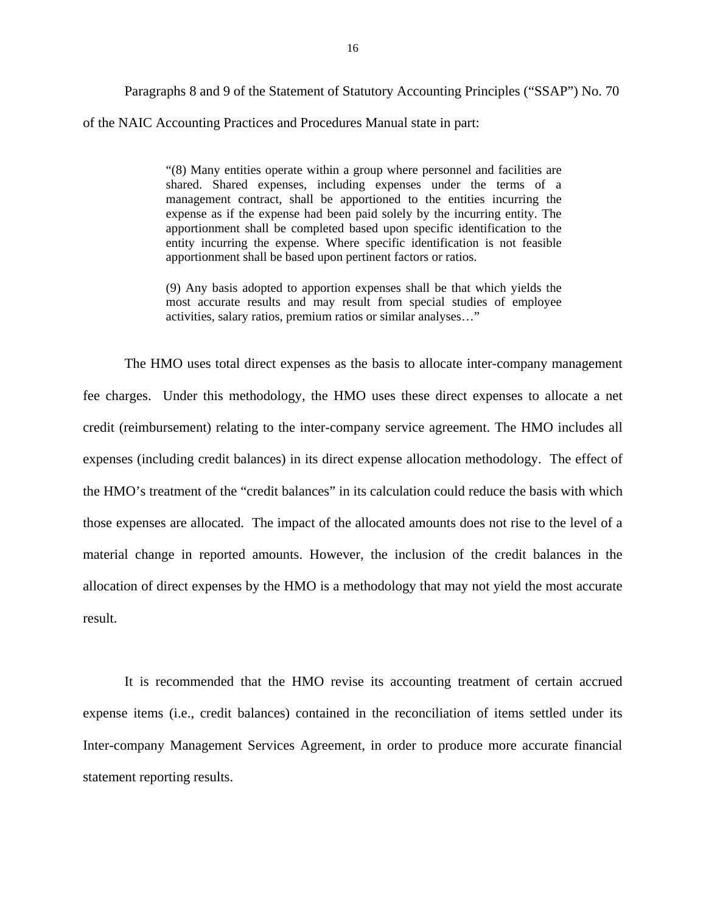Paragraphs 8 and 9 of the Statement of Statutory Accounting Principles ("SSAP") No. 70 of the NAIC Accounting Practices and Procedures Manual state in part:

> "(8) Many entities operate within a group where personnel and facilities are shared. Shared expenses, including expenses under the terms of a management contract, shall be apportioned to the entities incurring the expense as if the expense had been paid solely by the incurring entity. The apportionment shall be completed based upon specific identification to the entity incurring the expense. Where specific identification is not feasible apportionment shall be based upon pertinent factors or ratios.

> (9) Any basis adopted to apportion expenses shall be that which yields the most accurate results and may result from special studies of employee activities, salary ratios, premium ratios or similar analyses…"

The HMO uses total direct expenses as the basis to allocate inter-company management fee charges. Under this methodology, the HMO uses these direct expenses to allocate a net credit (reimbursement) relating to the inter-company service agreement. The HMO includes all expenses (including credit balances) in its direct expense allocation methodology. The effect of the HMO's treatment of the "credit balances" in its calculation could reduce the basis with which those expenses are allocated. The impact of the allocated amounts does not rise to the level of a material change in reported amounts. However, the inclusion of the credit balances in the allocation of direct expenses by the HMO is a methodology that may not yield the most accurate result.

It is recommended that the HMO revise its accounting treatment of certain accrued expense items (i.e., credit balances) contained in the reconciliation of items settled under its Inter-company Management Services Agreement, in order to produce more accurate financial statement reporting results.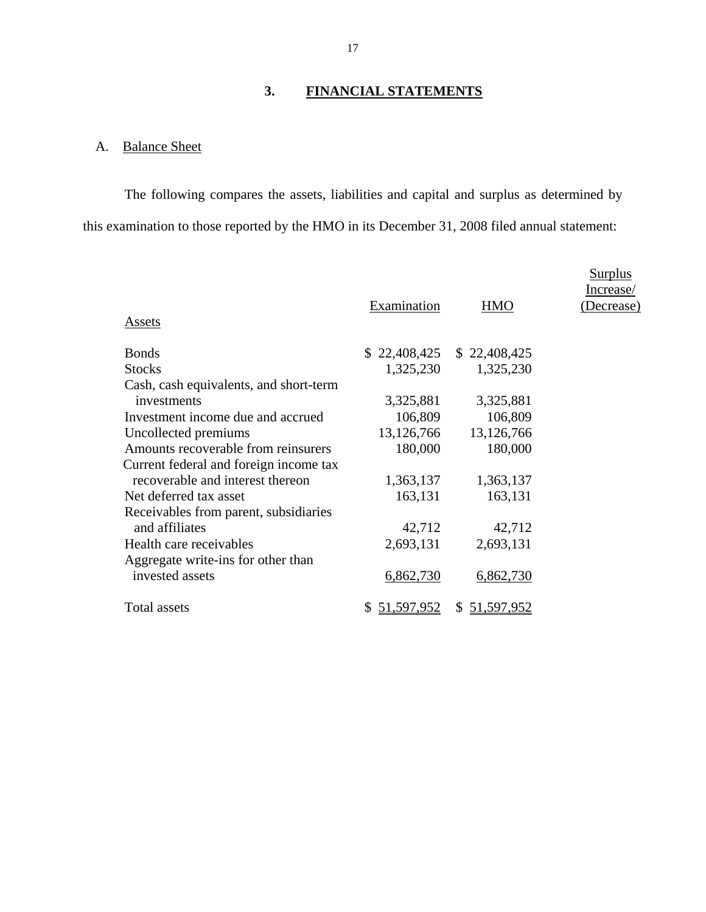# **3. FINANCIAL STATEMENTS**

# A. Balance Sheet

The following compares the assets, liabilities and capital and surplus as determined by this examination to those reported by the HMO in its December 31, 2008 filed annual statement:

| <b>Assets</b>                                         | Examination      | <b>HMO</b>                  | <b>Surplus</b><br>Increase/<br>(Decrease) |
|-------------------------------------------------------|------------------|-----------------------------|-------------------------------------------|
| <b>Bonds</b>                                          |                  | $$22,408,425$ $$22,408,425$ |                                           |
| <b>Stocks</b>                                         | 1,325,230        | 1,325,230                   |                                           |
| Cash, cash equivalents, and short-term                |                  |                             |                                           |
| investments                                           | 3,325,881        | 3,325,881                   |                                           |
| Investment income due and accrued                     | 106,809          | 106,809                     |                                           |
| Uncollected premiums                                  | 13,126,766       | 13,126,766                  |                                           |
| Amounts recoverable from reinsurers                   | 180,000          | 180,000                     |                                           |
| Current federal and foreign income tax                |                  |                             |                                           |
| recoverable and interest thereon                      | 1,363,137        | 1,363,137                   |                                           |
| Net deferred tax asset                                | 163,131          | 163,131                     |                                           |
| Receivables from parent, subsidiaries                 |                  |                             |                                           |
| and affiliates                                        | 42,712           | 42,712                      |                                           |
| Health care receivables                               | 2,693,131        | 2,693,131                   |                                           |
| Aggregate write-ins for other than<br>invested assets | 6,862,730        | 6,862,730                   |                                           |
| Total assets                                          | 51,597,952<br>S. | S.<br>51,597,952            |                                           |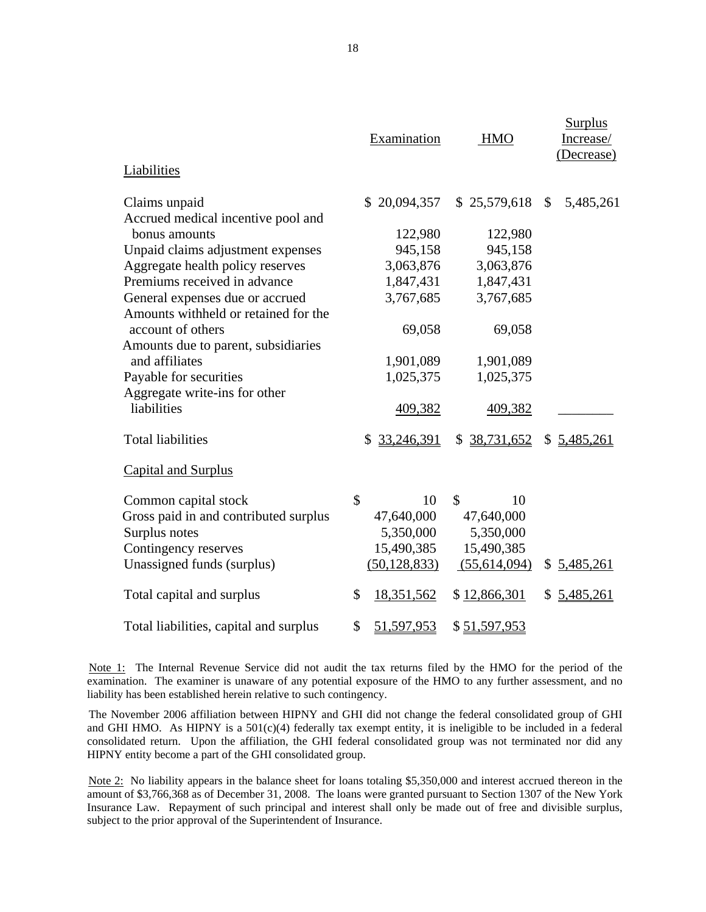|                                        | Examination      | <b>HMO</b>   | <b>Surplus</b><br>Increase/<br>(Decrease) |
|----------------------------------------|------------------|--------------|-------------------------------------------|
| Liabilities                            |                  |              |                                           |
| Claims unpaid                          | \$20,094,357     | \$25,579,618 | $\mathbb{S}$<br>5,485,261                 |
| Accrued medical incentive pool and     |                  |              |                                           |
| bonus amounts                          | 122,980          | 122,980      |                                           |
| Unpaid claims adjustment expenses      | 945,158          | 945,158      |                                           |
| Aggregate health policy reserves       | 3,063,876        | 3,063,876    |                                           |
| Premiums received in advance           | 1,847,431        | 1,847,431    |                                           |
| General expenses due or accrued        | 3,767,685        | 3,767,685    |                                           |
| Amounts withheld or retained for the   |                  |              |                                           |
| account of others                      | 69,058           | 69,058       |                                           |
| Amounts due to parent, subsidiaries    |                  |              |                                           |
| and affiliates                         | 1,901,089        | 1,901,089    |                                           |
| Payable for securities                 | 1,025,375        | 1,025,375    |                                           |
| Aggregate write-ins for other          |                  |              |                                           |
| liabilities                            | 409,382          | 409,382      |                                           |
| <b>Total liabilities</b>               | 33,246,391<br>\$ | \$38,731,652 | \$5,485,261                               |
| <b>Capital and Surplus</b>             |                  |              |                                           |
| Common capital stock                   | \$<br>10         | \$<br>10     |                                           |
| Gross paid in and contributed surplus  | 47,640,000       | 47,640,000   |                                           |
| Surplus notes                          | 5,350,000        | 5,350,000    |                                           |
| Contingency reserves                   | 15,490,385       | 15,490,385   |                                           |
| Unassigned funds (surplus)             | (50, 128, 833)   | (55,614,094) | \$5,485,261                               |
| Total capital and surplus              | \$<br>18,351,562 | \$12,866,301 | 5,485,261<br>\$                           |
| Total liabilities, capital and surplus | \$<br>51,597,953 | \$51,597,953 |                                           |

Note 1: The Internal Revenue Service did not audit the tax returns filed by the HMO for the period of the examination. The examiner is unaware of any potential exposure of the HMO to any further assessment, and no liability has been established herein relative to such contingency.

 The November 2006 affiliation between HIPNY and GHI did not change the federal consolidated group of GHI consolidated return. Upon the affiliation, the GHI federal consolidated group was not terminated nor did any and GHI HMO. As HIPNY is a 501(c)(4) federally tax exempt entity, it is ineligible to be included in a federal HIPNY entity become a part of the GHI consolidated group.

Note 2: No liability appears in the balance sheet for loans totaling \$5,350,000 and interest accrued thereon in the amount of \$3,766,368 as of December 31, 2008. The loans were granted pursuant to Section 1307 of the New York Insurance Law. Repayment of such principal and interest shall only be made out of free and divisible surplus, subject to the prior approval of the Superintendent of Insurance.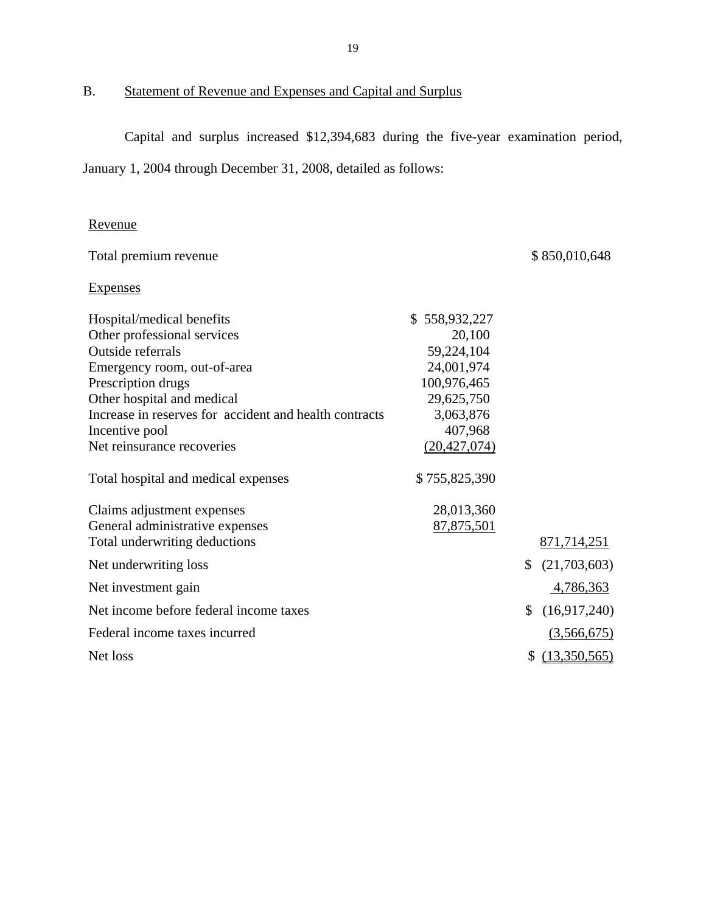B. Statement of Revenue and Expenses and Capital and Surplus

Capital and surplus increased \$12,394,683 during the five-year examination period, January 1, 2004 through December 31, 2008, detailed as follows:

# Revenue

| Revenue                                                |                |                    |
|--------------------------------------------------------|----------------|--------------------|
| Total premium revenue                                  |                | \$850,010,648      |
| <b>Expenses</b>                                        |                |                    |
| Hospital/medical benefits                              | \$558,932,227  |                    |
| Other professional services                            | 20,100         |                    |
| Outside referrals                                      | 59,224,104     |                    |
| Emergency room, out-of-area                            | 24,001,974     |                    |
| Prescription drugs                                     | 100,976,465    |                    |
| Other hospital and medical                             | 29,625,750     |                    |
| Increase in reserves for accident and health contracts | 3,063,876      |                    |
| Incentive pool                                         | 407,968        |                    |
| Net reinsurance recoveries                             | (20, 427, 074) |                    |
| Total hospital and medical expenses                    | \$755,825,390  |                    |
| Claims adjustment expenses                             | 28,013,360     |                    |
| General administrative expenses                        | 87,875,501     |                    |
| Total underwriting deductions                          |                | 871,714,251        |
| Net underwriting loss                                  |                | \$<br>(21,703,603) |
| Net investment gain                                    |                | 4,786,363          |
| Net income before federal income taxes                 |                | \$<br>(16,917,240) |
| Federal income taxes incurred                          |                | (3,566,675)        |
| Net loss                                               |                | \$<br>(13,350,565) |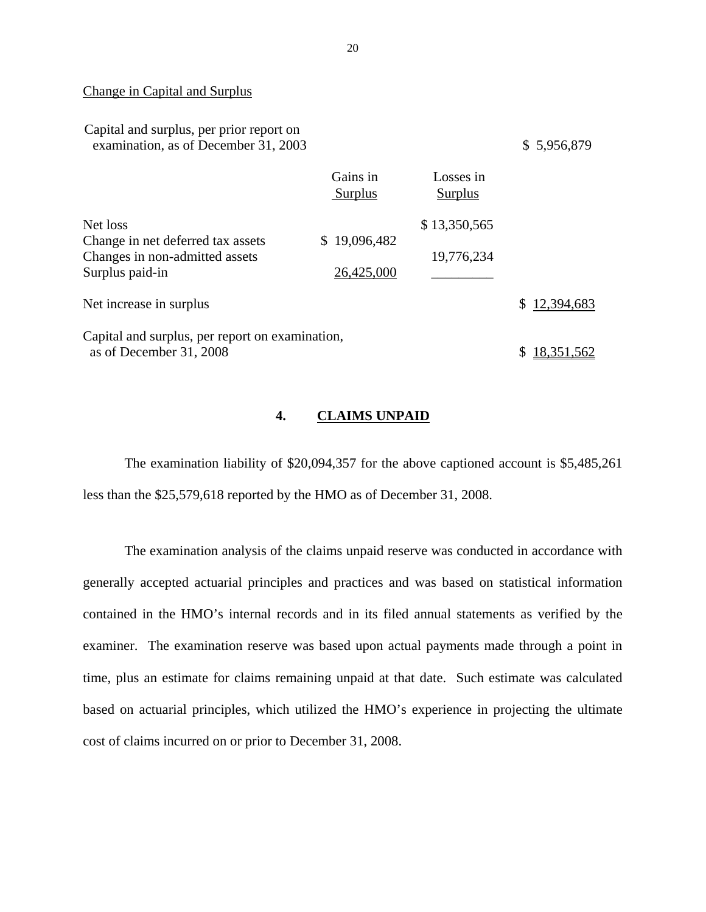### Change in Capital and Surplus

| Capital and surplus, per prior report on<br>examination, as of December 31, 2003 |                            |                      | \$5,956,879  |
|----------------------------------------------------------------------------------|----------------------------|----------------------|--------------|
|                                                                                  | Gains in<br><b>Surplus</b> | Losses in<br>Surplus |              |
| Net loss                                                                         |                            | \$13,350,565         |              |
| Change in net deferred tax assets                                                | \$19,096,482               |                      |              |
| Changes in non-admitted assets                                                   |                            | 19,776,234           |              |
| Surplus paid-in                                                                  | 26,425,000                 |                      |              |
| Net increase in surplus                                                          |                            |                      | \$12,394,683 |
| Capital and surplus, per report on examination,                                  |                            |                      |              |
| as of December 31, 2008                                                          |                            |                      | 18.351.562   |
|                                                                                  |                            |                      |              |

### **4. CLAIMS UNPAID**

The examination liability of \$20,094,357 for the above captioned account is \$5,485,261 less than the \$25,579,618 reported by the HMO as of December 31, 2008.

The examination analysis of the claims unpaid reserve was conducted in accordance with generally accepted actuarial principles and practices and was based on statistical information contained in the HMO's internal records and in its filed annual statements as verified by the examiner. The examination reserve was based upon actual payments made through a point in time, plus an estimate for claims remaining unpaid at that date. Such estimate was calculated based on actuarial principles, which utilized the HMO's experience in projecting the ultimate cost of claims incurred on or prior to December 31, 2008.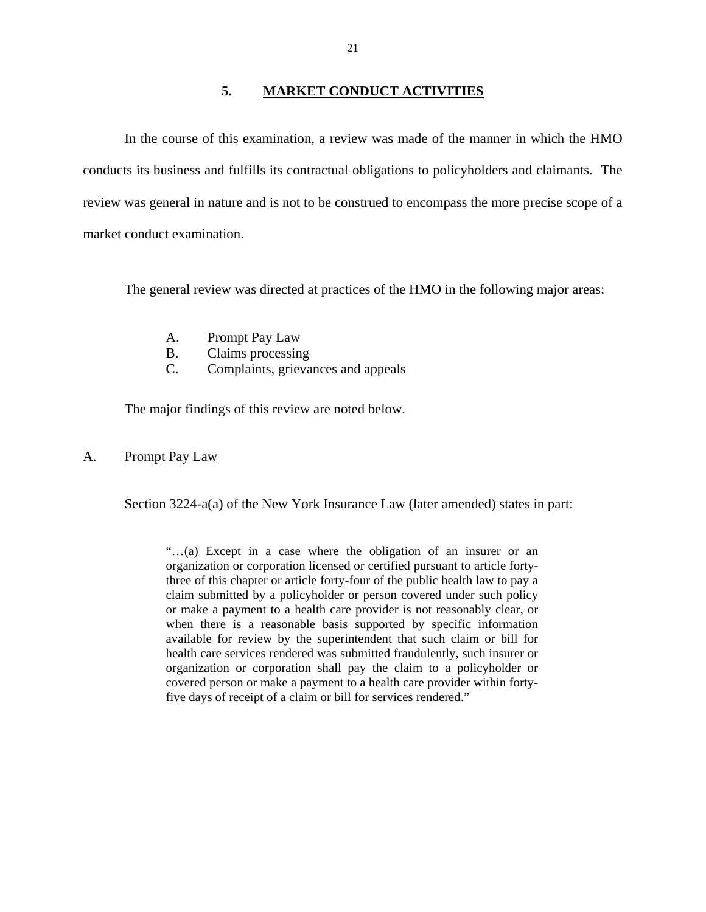### **5. MARKET CONDUCT ACTIVITIES**

<span id="page-22-0"></span>In the course of this examination, a review was made of the manner in which the HMO conducts its business and fulfills its contractual obligations to policyholders and claimants. The review was general in nature and is not to be construed to encompass the more precise scope of a market conduct examination.

The general review was directed at practices of the HMO in the following major areas:

- A. Prompt Pay Law
- B. Claims processing
- C. Complaints, grievances and appeals

The major findings of this review are noted below.

### A. Prompt Pay Law

Section 3224-a(a) of the New York Insurance Law (later amended) states in part:

"…(a) Except in a case where the obligation of an insurer or an organization or corporation licensed or certified pursuant to article fortythree of this chapter or article forty-four of the public health law to pay a claim submitted by a policyholder or person covered under such policy or make a payment to a health care provider is not reasonably clear, or when there is a reasonable basis supported by specific information available for review by the superintendent that such claim or bill for health care services rendered was submitted fraudulently, such insurer or organization or corporation shall pay the claim to a policyholder or covered person or make a payment to a health care provider within fortyfive days of receipt of a claim or bill for services rendered."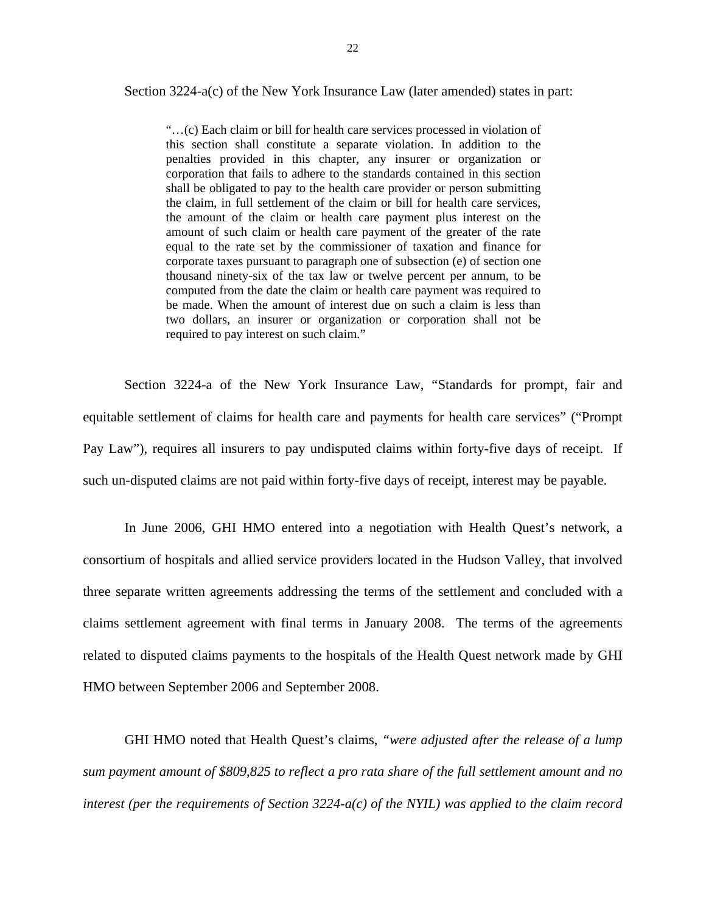Section 3224-a(c) of the New York Insurance Law (later amended) states in part:

"…(c) Each claim or bill for health care services processed in violation of this section shall constitute a separate violation. In addition to the penalties provided in this chapter, any insurer or organization or corporation that fails to adhere to the standards contained in this section shall be obligated to pay to the health care provider or person submitting the claim, in full settlement of the claim or bill for health care services, the amount of the claim or health care payment plus interest on the amount of such claim or health care payment of the greater of the rate equal to the rate set by the commissioner of taxation and finance for corporate taxes pursuant to paragraph one of subsection (e) of section one thousand ninety-six of the tax law or twelve percent per annum, to be computed from the date the claim or health care payment was required to be made. When the amount of interest due on such a claim is less than two dollars, an insurer or organization or corporation shall not be required to pay interest on such claim."

Section 3224-a of the New York Insurance Law, "Standards for prompt, fair and equitable settlement of claims for health care and payments for health care services" ("Prompt Pay Law"), requires all insurers to pay undisputed claims within forty-five days of receipt. If such un-disputed claims are not paid within forty-five days of receipt, interest may be payable.

In June 2006, GHI HMO entered into a negotiation with Health Quest's network, a consortium of hospitals and allied service providers located in the Hudson Valley, that involved three separate written agreements addressing the terms of the settlement and concluded with a claims settlement agreement with final terms in January 2008. The terms of the agreements related to disputed claims payments to the hospitals of the Health Quest network made by GHI HMO between September 2006 and September 2008.

GHI HMO noted that Health Quest's claims, *"were adjusted after the release of a lump sum payment amount of \$809,825 to reflect a pro rata share of the full settlement amount and no interest (per the requirements of Section 3224-a(c) of the NYIL) was applied to the claim record*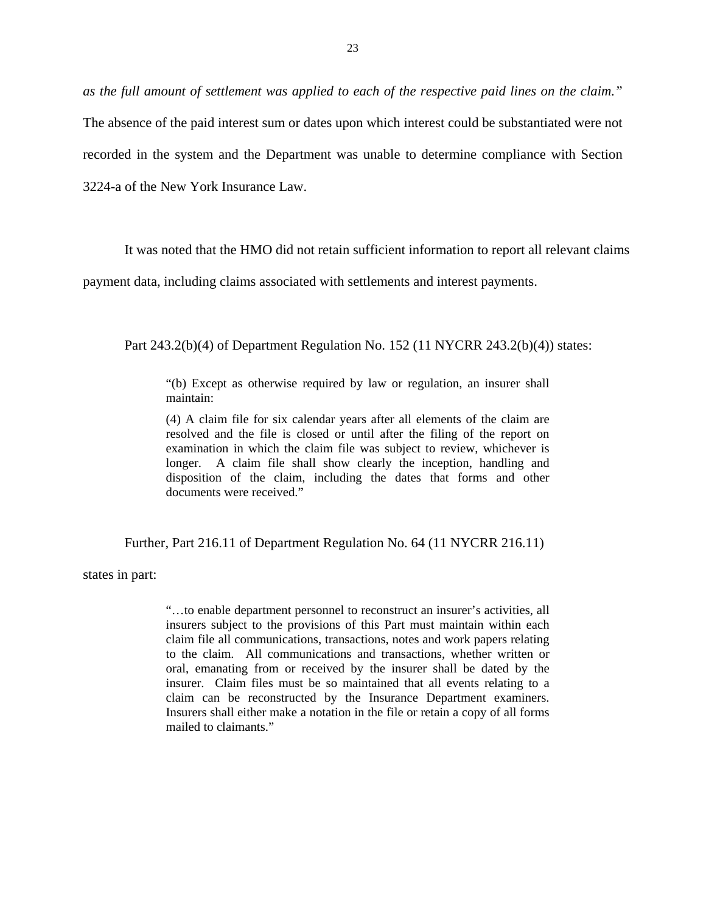*as the full amount of settlement was applied to each of the respective paid lines on the claim."* 

The absence of the paid interest sum or dates upon which interest could be substantiated were not recorded in the system and the Department was unable to determine compliance with Section 3224-a of the New York Insurance Law.

It was noted that the HMO did not retain sufficient information to report all relevant claims

payment data, including claims associated with settlements and interest payments.

Part 243.2(b)(4) of Department Regulation No. 152 (11 NYCRR 243.2(b)(4)) states:

"(b) Except as otherwise required by law or regulation, an insurer shall maintain:

(4) A claim file for six calendar years after all elements of the claim are resolved and the file is closed or until after the filing of the report on examination in which the claim file was subject to review, whichever is longer. A claim file shall show clearly the inception, handling and disposition of the claim, including the dates that forms and other documents were received."

Further, Part 216.11 of Department Regulation No. 64 (11 NYCRR 216.11)

states in part:

claim can be reconstructed by the Insurance Department examiners. "…to enable department personnel to reconstruct an insurer's activities, all insurers subject to the provisions of this Part must maintain within each claim file all communications, transactions, notes and work papers relating to the claim. All communications and transactions, whether written or oral, emanating from or received by the insurer shall be dated by the insurer. Claim files must be so maintained that all events relating to a Insurers shall either make a notation in the file or retain a copy of all forms. mailed to claimants."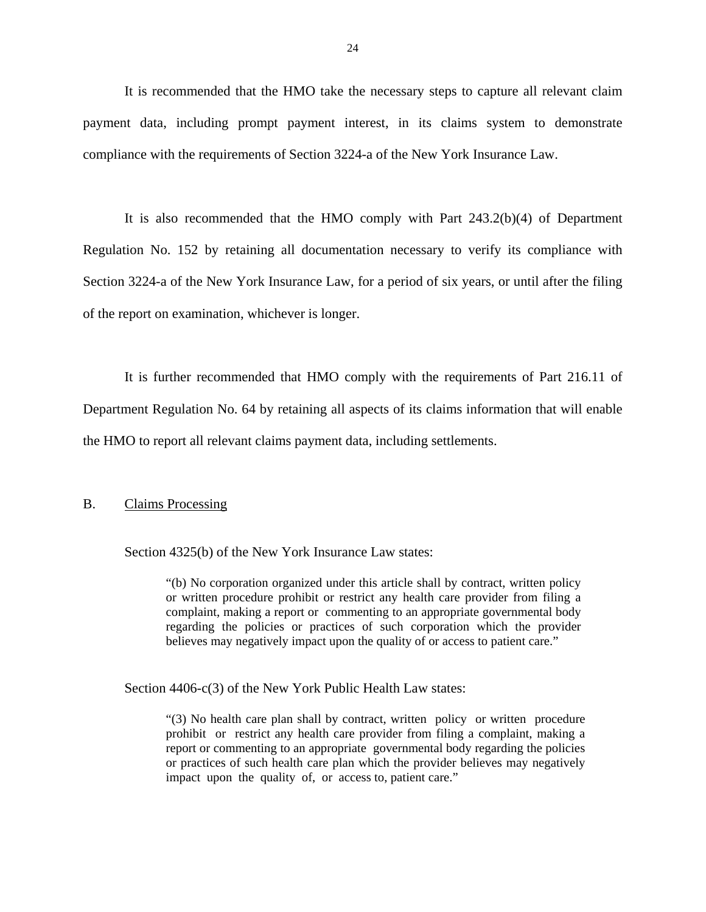<span id="page-25-0"></span>It is recommended that the HMO take the necessary steps to capture all relevant claim payment data, including prompt payment interest, in its claims system to demonstrate compliance with the requirements of Section 3224-a of the New York Insurance Law.

It is also recommended that the HMO comply with Part 243.2(b)(4) of Department Regulation No. 152 by retaining all documentation necessary to verify its compliance with Section 3224-a of the New York Insurance Law, for a period of six years, or until after the filing of the report on examination, whichever is longer.

It is further recommended that HMO comply with the requirements of Part 216.11 of Department Regulation No. 64 by retaining all aspects of its claims information that will enable the HMO to report all relevant claims payment data, including settlements.

### **Claims Processing**

B. Claims Processing<br>Section 4325(b) of the New York Insurance Law states:

"(b) No corporation organized under this article shall by contract, written policy or written procedure prohibit or restrict any health care provider from filing a complaint, making a report or commenting to an appropriate governmental body regarding the policies or practices of such corporation which the provider believes may negatively impact upon the quality of or access to patient care."

Section 4406-c(3) of the New York Public Health Law states:

"(3) No health care plan shall by contract, written policy or written procedure "(3) No health care plan shall by contract, written policy or written procedure prohibit or restrict any health care provider from filing a complaint, making a report or commenting to an appropriate governmental body regarding the policies or practices of such health care plan which the provider believes may negatively impact upon the quality of, or access to, patient care."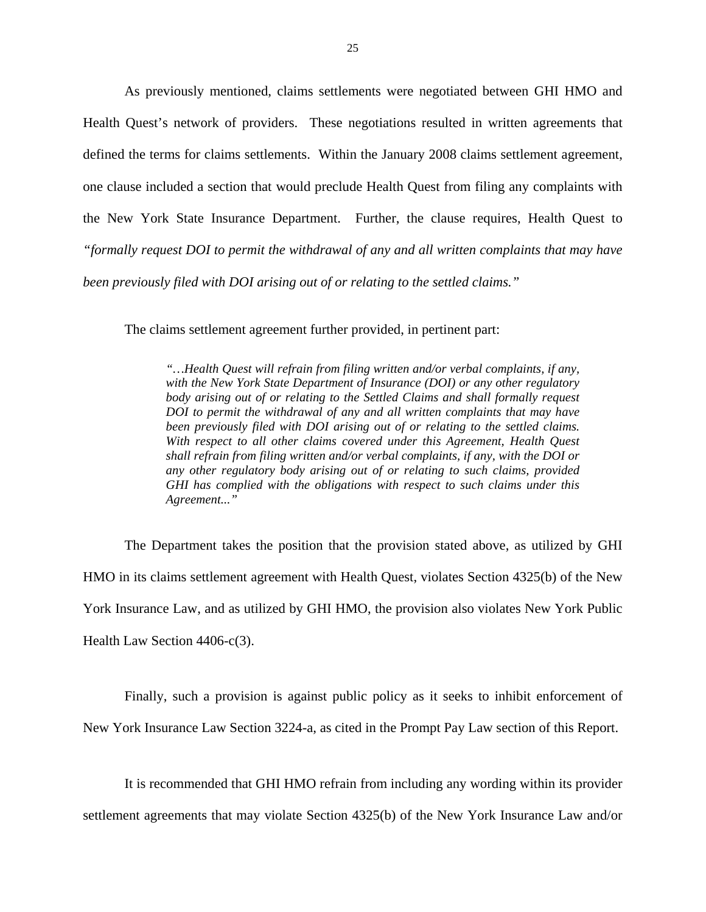As previously mentioned, claims settlements were negotiated between GHI HMO and Health Quest's network of providers. These negotiations resulted in written agreements that defined the terms for claims settlements. Within the January 2008 claims settlement agreement, one clause included a section that would preclude Health Quest from filing any complaints with the New York State Insurance Department. Further, the clause requires, Health Quest to *"formally request DOI to permit the withdrawal of any and all written complaints that may have been previously filed with DOI arising out of or relating to the settled claims."* 

The claims settlement agreement further provided, in pertinent part:

*"…Health Quest will refrain from filing written and/or verbal complaints, if any, with the New York State Department of Insurance (DOI) or any other regulatory body arising out of or relating to the Settled Claims and shall formally request DOI to permit the withdrawal of any and all written complaints that may have been previously filed with DOI arising out of or relating to the settled claims. With respect to all other claims covered under this Agreement, Health Quest shall refrain from filing written and/or verbal complaints, if any, with the DOI or any other regulatory body arising out of or relating to such claims, provided GHI has complied with the obligations with respect to such claims under this Agreement..."* 

The Department takes the position that the provision stated above, as utilized by GHI HMO in its claims settlement agreement with Health Quest, violates Section 4325(b) of the New York Insurance Law, and as utilized by GHI HMO, the provision also violates New York Public Health Law Section 4406-c(3).

Finally, such a provision is against public policy as it seeks to inhibit enforcement of New York Insurance Law Section 3224-a, as cited in the Prompt Pay Law section of this Report.

It is recommended that GHI HMO refrain from including any wording within its provider settlement agreements that may violate Section 4325(b) of the New York Insurance Law and/or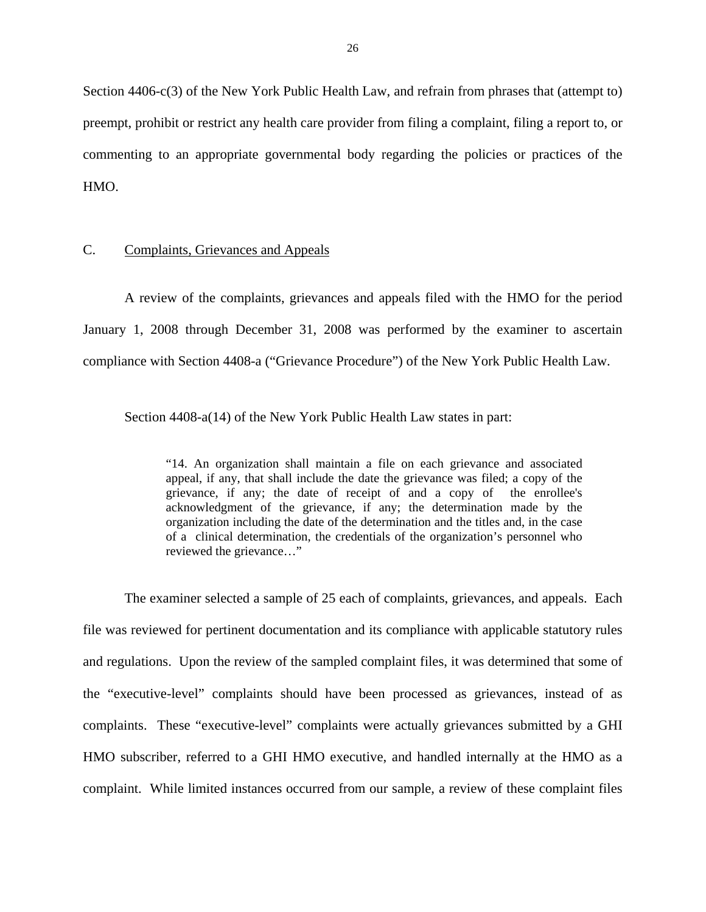<span id="page-27-0"></span>Section 4406-c(3) of the New York Public Health Law, and refrain from phrases that (attempt to) preempt, prohibit or restrict any health care provider from filing a complaint, filing a report to, or commenting to an appropriate governmental body regarding the policies or practices of the HMO.

### C. Complaints, Grievances and Appeals

A review of the complaints, grievances and appeals filed with the HMO for the period January 1, 2008 through December 31, 2008 was performed by the examiner to ascertain compliance with Section 4408-a ("Grievance Procedure") of the New York Public Health Law.

Section 4408-a(14) of the New York Public Health Law states in part:

"14. An organization shall maintain a file on each grievance and associated appeal, if any, that shall include the date the grievance was filed; a copy of the grievance, if any; the date of receipt of and a copy of the enrollee's acknowledgment of the grievance, if any; the determination made by the organization including the date of the determination and the titles and, in the case of a clinical determination, the credentials of the organization's personnel who reviewed the grievance…"

The examiner selected a sample of 25 each of complaints, grievances, and appeals. Each file was reviewed for pertinent documentation and its compliance with applicable statutory rules and regulations. Upon the review of the sampled complaint files, it was determined that some of the "executive-level" complaints should have been processed as grievances, instead of as complaints. These "executive-level" complaints were actually grievances submitted by a GHI HMO subscriber, referred to a GHI HMO executive, and handled internally at the HMO as a complaint. While limited instances occurred from our sample, a review of these complaint files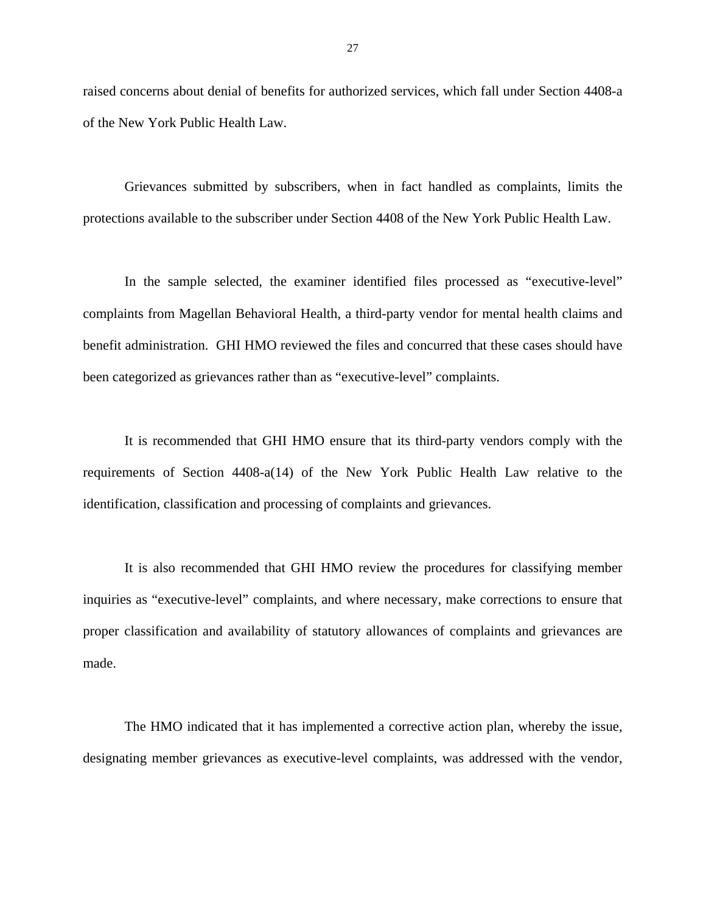raised concerns about denial of benefits for authorized services, which fall under Section 4408-a of the New York Public Health Law.

Grievances submitted by subscribers, when in fact handled as complaints, limits the protections available to the subscriber under Section 4408 of the New York Public Health Law.

In the sample selected, the examiner identified files processed as "executive-level" complaints from Magellan Behavioral Health, a third-party vendor for mental health claims and benefit administration. GHI HMO reviewed the files and concurred that these cases should have been categorized as grievances rather than as "executive-level" complaints.

It is recommended that GHI HMO ensure that its third-party vendors comply with the requirements of Section 4408-a(14) of the New York Public Health Law relative to the identification, classification and processing of complaints and grievances.

It is also recommended that GHI HMO review the procedures for classifying member inquiries as "executive-level" complaints, and where necessary, make corrections to ensure that proper classification and availability of statutory allowances of complaints and grievances are made.

The HMO indicated that it has implemented a corrective action plan, whereby the issue, designating member grievances as executive-level complaints, was addressed with the vendor,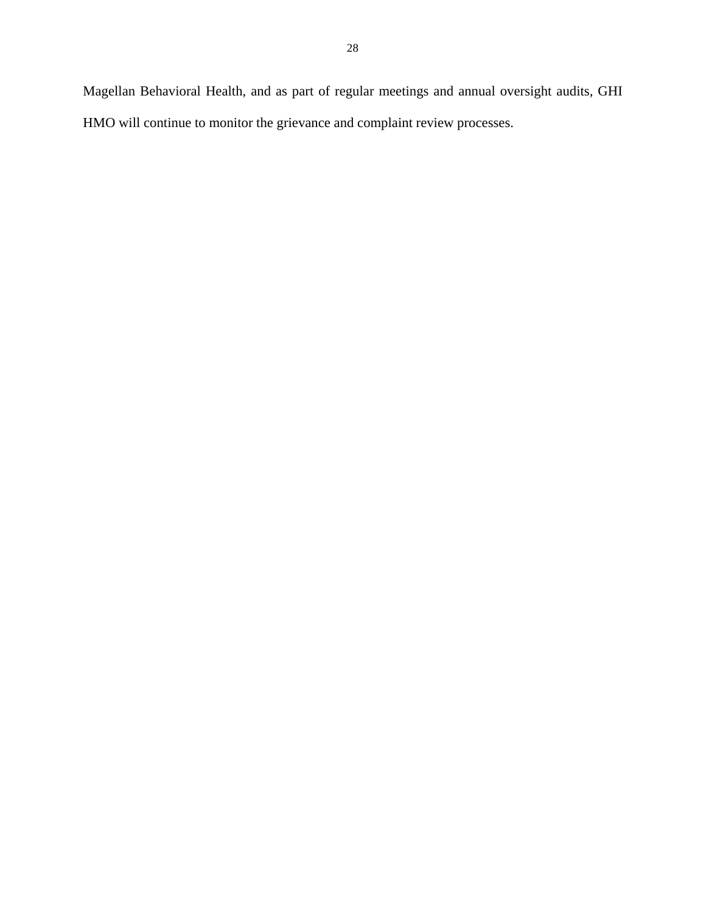Magellan Behavioral Health, and as part of regular meetings and annual oversight audits, GHI HMO will continue to monitor the grievance and complaint review processes.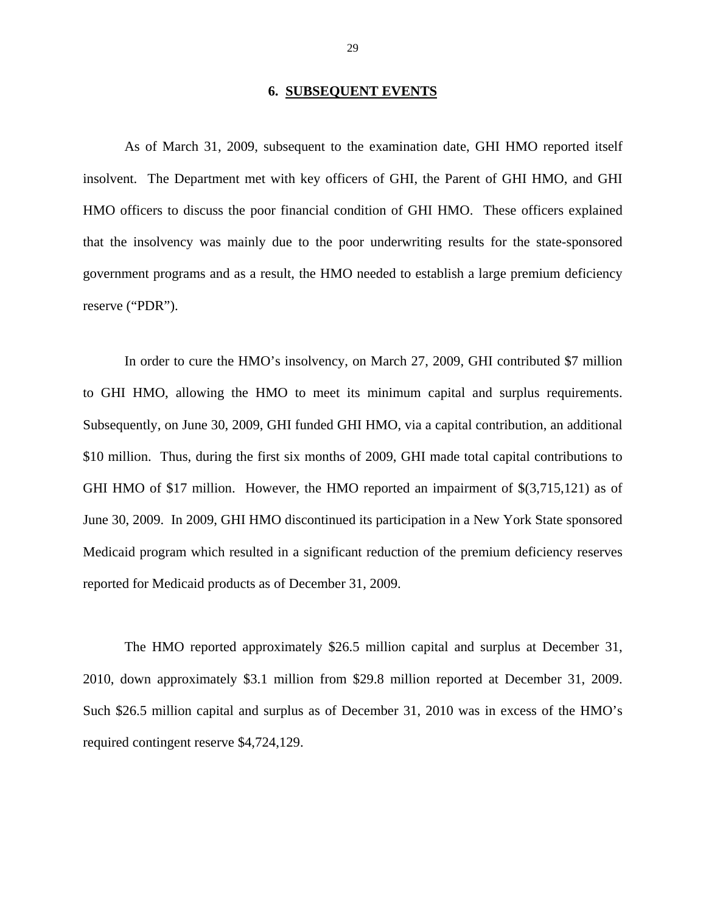### **6. SUBSEQUENT EVENTS**

<span id="page-30-0"></span>As of March 31, 2009, subsequent to the examination date, GHI HMO reported itself insolvent. The Department met with key officers of GHI, the Parent of GHI HMO, and GHI HMO officers to discuss the poor financial condition of GHI HMO. These officers explained that the insolvency was mainly due to the poor underwriting results for the state-sponsored government programs and as a result, the HMO needed to establish a large premium deficiency reserve ("PDR").

In order to cure the HMO's insolvency, on March 27, 2009, GHI contributed \$7 million to GHI HMO, allowing the HMO to meet its minimum capital and surplus requirements. Subsequently, on June 30, 2009, GHI funded GHI HMO, via a capital contribution, an additional \$10 million. Thus, during the first six months of 2009, GHI made total capital contributions to GHI HMO of \$17 million. However, the HMO reported an impairment of \$(3,715,121) as of June 30, 2009. In 2009, GHI HMO discontinued its participation in a New York State sponsored Medicaid program which resulted in a significant reduction of the premium deficiency reserves reported for Medicaid products as of December 31, 2009.

The HMO reported approximately \$26.5 million capital and surplus at December 31, 2010, down approximately \$3.1 million from \$29.8 million reported at December 31, 2009. Such \$26.5 million capital and surplus as of December 31, 2010 was in excess of the HMO's required contingent reserve \$4,724,129.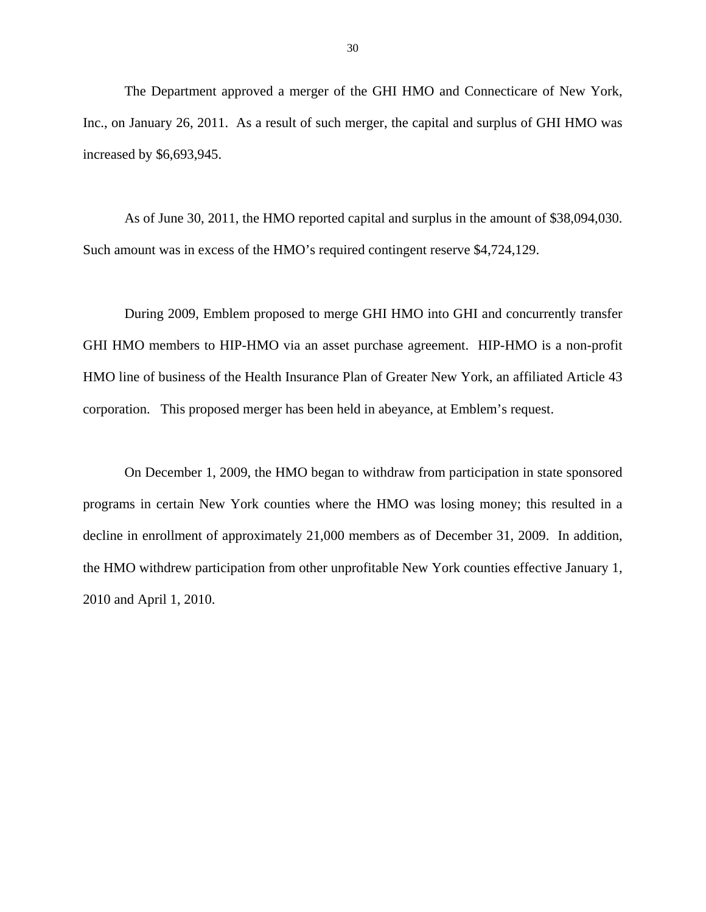The Department approved a merger of the GHI HMO and Connecticare of New York, Inc., on January 26, 2011. As a result of such merger, the capital and surplus of GHI HMO was increased by \$6,693,945.

As of June 30, 2011, the HMO reported capital and surplus in the amount of \$38,094,030. Such amount was in excess of the HMO's required contingent reserve \$4,724,129.

During 2009, Emblem proposed to merge GHI HMO into GHI and concurrently transfer GHI HMO members to HIP-HMO via an asset purchase agreement. HIP-HMO is a non-profit HMO line of business of the Health Insurance Plan of Greater New York, an affiliated Article 43 corporation. This proposed merger has been held in abeyance, at Emblem's request.

On December 1, 2009, the HMO began to withdraw from participation in state sponsored programs in certain New York counties where the HMO was losing money; this resulted in a decline in enrollment of approximately 21,000 members as of December 31, 2009. In addition, the HMO withdrew participation from other unprofitable New York counties effective January 1, 2010 and April 1, 2010.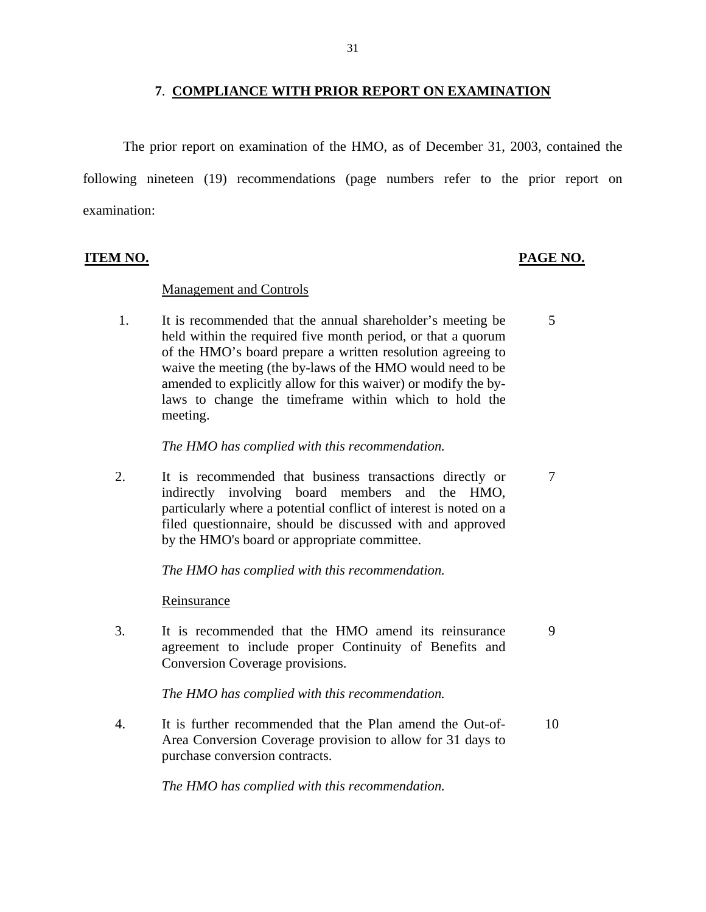### **7**. **COMPLIANCE WITH PRIOR REPORT ON EXAMINATION**

<span id="page-32-0"></span>The prior report on examination of the HMO, as of December 31, 2003, contained the following nineteen (19) recommendations (page numbers refer to the prior report on examination:

### Management and Controls

 1. It is recommended that the annual shareholder's meeting be 5 held within the required five month period, or that a quorum of the HMO's board prepare a written resolution agreeing to waive the meeting (the by-laws of the HMO would need to be amended to explicitly allow for this waiver) or modify the bylaws to change the timeframe within which to hold the meeting.

*The HMO has complied with this recommendation.*

2. It is recommended that business transactions directly or  $7$ indirectly involving board members and the HMO, particularly where a potential conflict of interest is noted on a filed questionnaire, should be discussed with and approved by the HMO's board or appropriate committee.

*The HMO has complied with this recommendation.*

Reinsurance

3. It is recommended that the HMO amend its reinsurance 9 agreement to include proper Continuity of Benefits and Conversion Coverage provisions.

*The HMO has complied with this recommendation.*

 4. It is further recommended that the Plan amend the Out-of- 10 Area Conversion Coverage provision to allow for 31 days to purchase conversion contracts.

*The HMO has complied with this recommendation.* 

### **ITEM NO. PAGE NO.**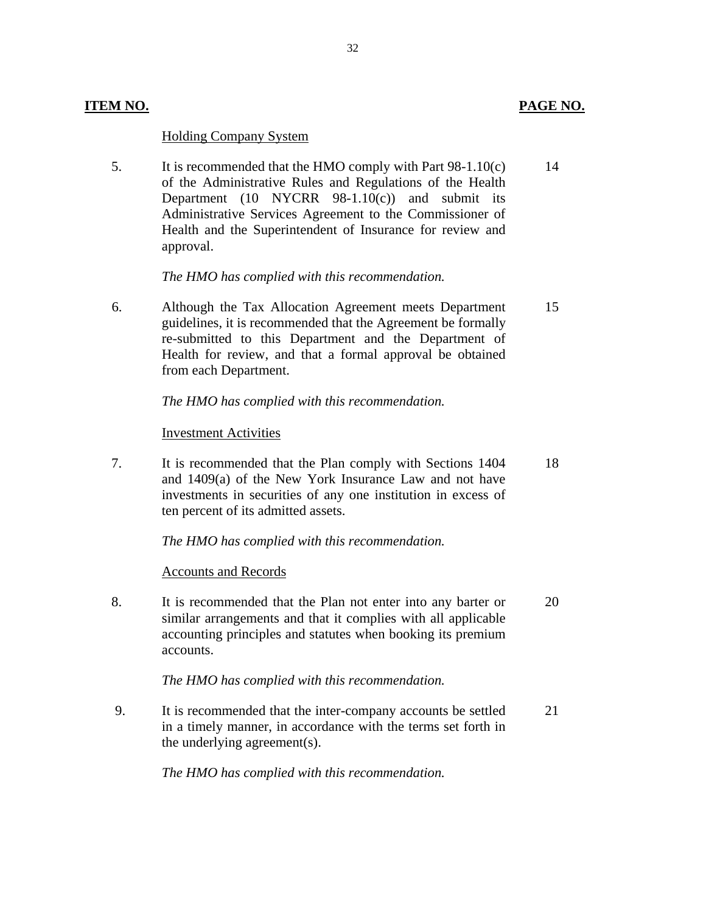### **Holding Company System**

5. It is recommended that the HMO comply with Part  $98-1.10(c)$ of the Administrative Rules and Regulations of the Health Department  $(10 \text{NYCRR } 98-1.10(c))$  and submit its Administrative Services Agreement to the Commissioner of Health and the Superintendent of Insurance for review and approval. 14

32

*The HMO has complied with this recommendation.*

 6. Although the Tax Allocation Agreement meets Department guidelines, it is recommended that the Agreement be formally re-submitted to this Department and the Department of Health for review, and that a formal approval be obtained from each Department. 15

### *The HMO has complied with this recommendation.*

### **Investment Activities**

7. It is recommended that the Plan comply with Sections 1404 and 1409(a) of the New York Insurance Law and not have investments in securities of any one institution in excess of ten percent of its admitted assets. 18

*The HMO has complied with this recommendation.* 

### **Accounts and Records**

8. It is recommended that the Plan not enter into any barter or similar arrangements and that it complies with all applicable accounting principles and statutes when booking its premium accounts. 20

### *The HMO has complied with this recommendation.*

 9. It is recommended that the inter-company accounts be settled in a timely manner, in accordance with the terms set forth in the underlying agreement(s). 21

*The HMO has complied with this recommendation.*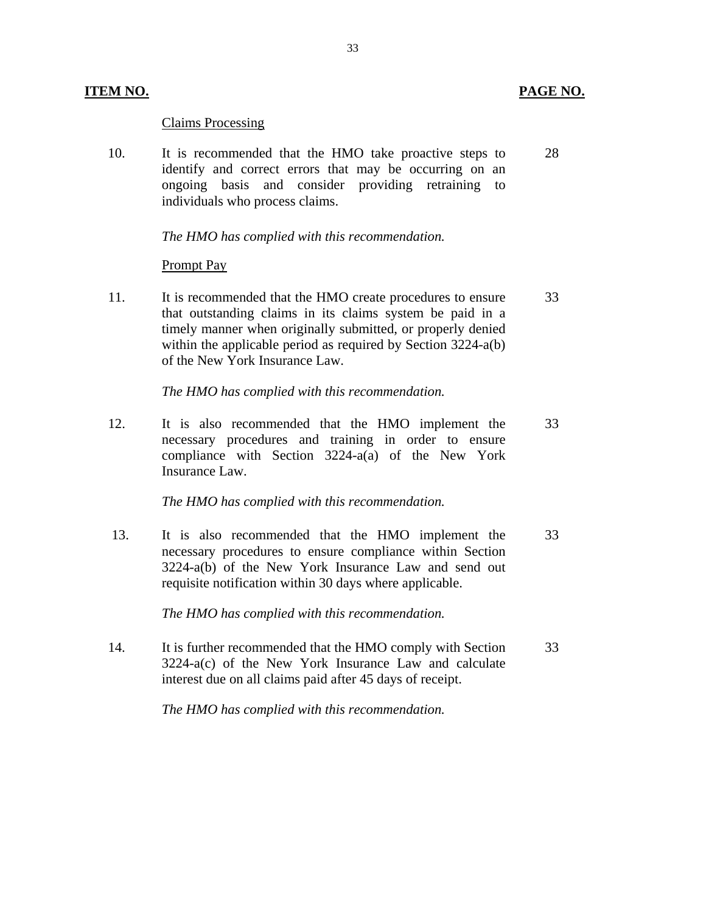### **ITEM NO. PAGE NO.**

### **Claims Processing**

10. It is recommended that the HMO take proactive steps to identify and correct errors that may be occurring on an ongoing basis and consider providing retraining to individuals who process claims. 28

*The HMO has complied with this recommendation.*

### **Prompt Pay**

11. It is recommended that the HMO create procedures to ensure that outstanding claims in its claims system be paid in a timely manner when originally submitted, or properly denied within the applicable period as required by Section 3224-a(b) of the New York Insurance Law. 33

*The HMO has complied with this recommendation.* 

12. It is also recommended that the HMO implement the necessary procedures and training in order to ensure compliance with Section 3224-a(a) of the New York Insurance Law. 33

*The HMO has complied with this recommendation.*

 13. It is also recommended that the HMO implement the necessary procedures to ensure compliance within Section 3224-a(b) of the New York Insurance Law and send out requisite notification within 30 days where applicable. 33

*The HMO has complied with this recommendation.* 

14. It is further recommended that the HMO comply with Section 3224-a(c) of the New York Insurance Law and calculate interest due on all claims paid after 45 days of receipt. 33

*The HMO has complied with this recommendation.*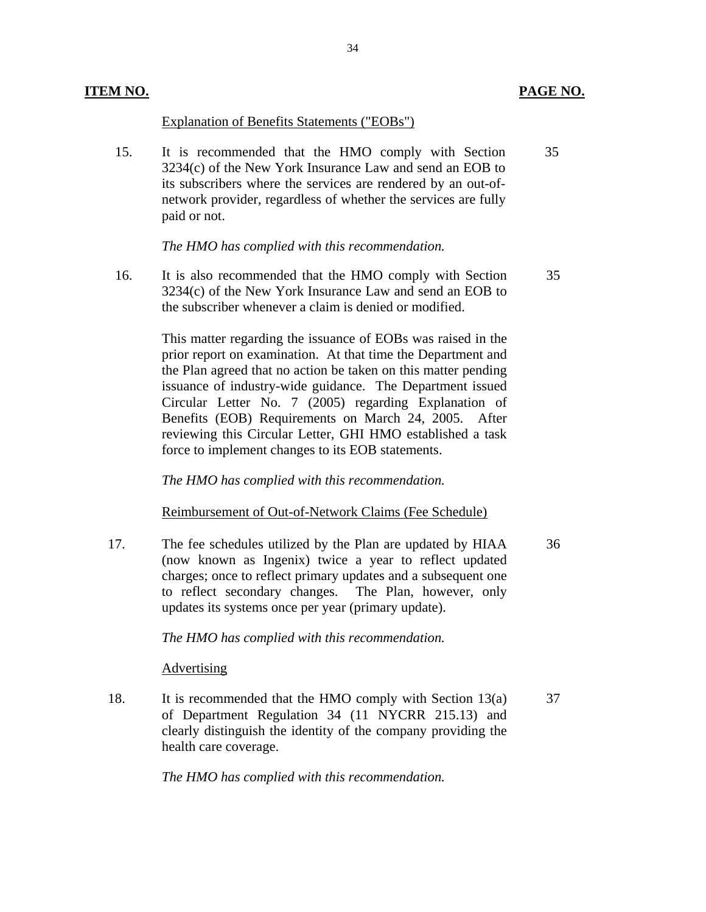### Explanation of Benefits Statements ("EOBs")

 15. It is recommended that the HMO comply with Section 3234(c) of the New York Insurance Law and send an EOB to its subscribers where the services are rendered by an out-ofnetwork provider, regardless of whether the services are fully paid or not. 35

34

*The HMO has complied with this recommendation.*

 16. It is also recommended that the HMO comply with Section 3234(c) of the New York Insurance Law and send an EOB to the subscriber whenever a claim is denied or modified. 35

> This matter regarding the issuance of EOBs was raised in the prior report on examination. At that time the Department and the Plan agreed that no action be taken on this matter pending issuance of industry-wide guidance. The Department issued Circular Letter No. 7 (2005) regarding Explanation of Benefits (EOB) Requirements on March 24, 2005. After reviewing this Circular Letter, GHI HMO established a task force to implement changes to its EOB statements.

*The HMO has complied with this recommendation.* 

### Reimbursement of Out-of-Network Claims (Fee Schedule)

17. The fee schedules utilized by the Plan are updated by HIAA (now known as Ingenix) twice a year to reflect updated charges; once to reflect primary updates and a subsequent one to reflect secondary changes. The Plan, however, only updates its systems once per year (primary update).

### *The HMO has complied with this recommendation.*

### Advertising

18. It is recommended that the HMO comply with Section  $13(a)$ of Department Regulation 34 (11 NYCRR 215.13) and clearly distinguish the identity of the company providing the health care coverage.

*The HMO has complied with this recommendation.* 

36

37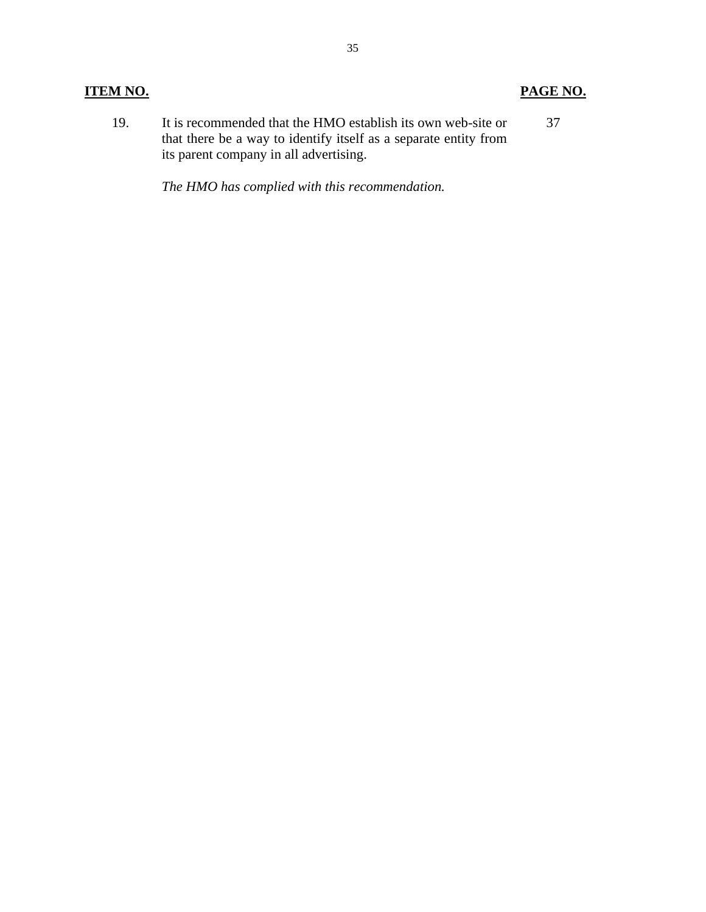# **ITEM NO. PAGE NO.**

 19. It is recommended that the HMO establish its own web-site or that there be a way to identify itself as a separate entity from its parent company in all advertising. 37

*The HMO has complied with this recommendation.*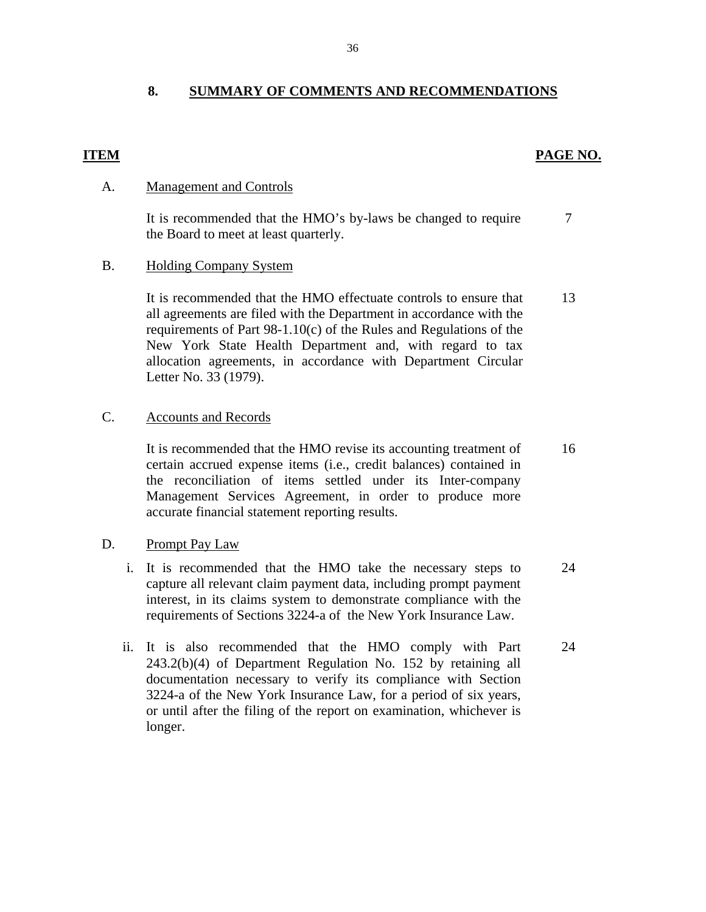# **8. SUMMARY OF COMMENTS AND RECOMMENDATIONS**

## **ITEM PAGE NO.**

### A. Management and Controls

It is recommended that the HMO's by-laws be changed to require the Board to meet at least quarterly. 7

### B. Holding Company System

It is recommended that the HMO effectuate controls to ensure that all agreements are filed with the Department in accordance with the requirements of Part 98-1.10(c) of the Rules and Regulations of the New York State Health Department and, with regard to tax allocation agreements, in accordance with Department Circular Letter No. 33 (1979). 13

### **Accounts and Records**

C. Accounts and Records<br>It is recommended that the HMO revise its accounting treatment of certain accrued expense items (i.e., credit balances) contained in the reconciliation of items settled under its Inter-company Management Services Agreement, in order to produce more accurate financial statement reporting results. 16

### Prompt Pay Law

- D. <u>Prompt Pay Law</u><br>i. It is recommended that the HMO take the necessary steps to capture all relevant claim payment data, including prompt payment interest, in its claims system to demonstrate compliance with the requirements of Sections 3224-a of the New York Insurance Law. 24
	- ii. It is also recommended that the HMO comply with Part 243.2(b)(4) of Department Regulation No. 152 by retaining all documentation necessary to verify its compliance with Section 3224-a of the New York Insurance Law, for a period of six years, or until after the filing of the report on examination, whichever is longer. 24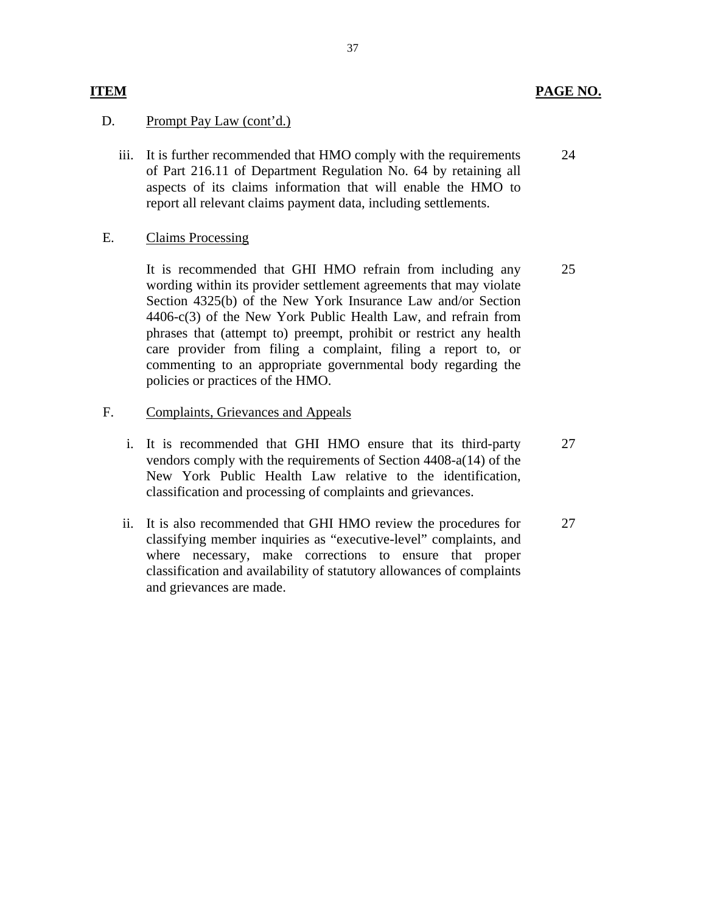### **ITEM** PAGE NO.

### Prompt Pay Law (cont'd.)

D. Prompt Pay Law (cont'd.)<br>iii. It is further recommended that HMO comply with the requirements of Part 216.11 of Department Regulation No. 64 by retaining all aspects of its claims information that will enable the HMO to report all relevant claims payment data, including settlements. 24

### **Claims Processing**

E. Claims Processing<br>It is recommended that GHI HMO refrain from including any wording within its provider settlement agreements that may violate Section 4325(b) of the New York Insurance Law and/or Section 4406-c(3) of the New York Public Health Law, and refrain from phrases that (attempt to) preempt, prohibit or restrict any health care provider from filing a complaint, filing a report to, or commenting to an appropriate governmental body regarding the policies or practices of the HMO. 25

### Complaints, Grievances and Appeals

- F. Complaints, Grievances and Appeals<br>i. It is recommended that GHI HMO ensure that its third-party vendors comply with the requirements of Section 4408-a(14) of the New York Public Health Law relative to the identification, classification and processing of complaints and grievances. 27
	- ii. It is also recommended that GHI HMO review the procedures for classifying member inquiries as "executive-level" complaints, and where necessary, make corrections to ensure that proper classification and availability of statutory allowances of complaints and grievances are made. 27

### 37